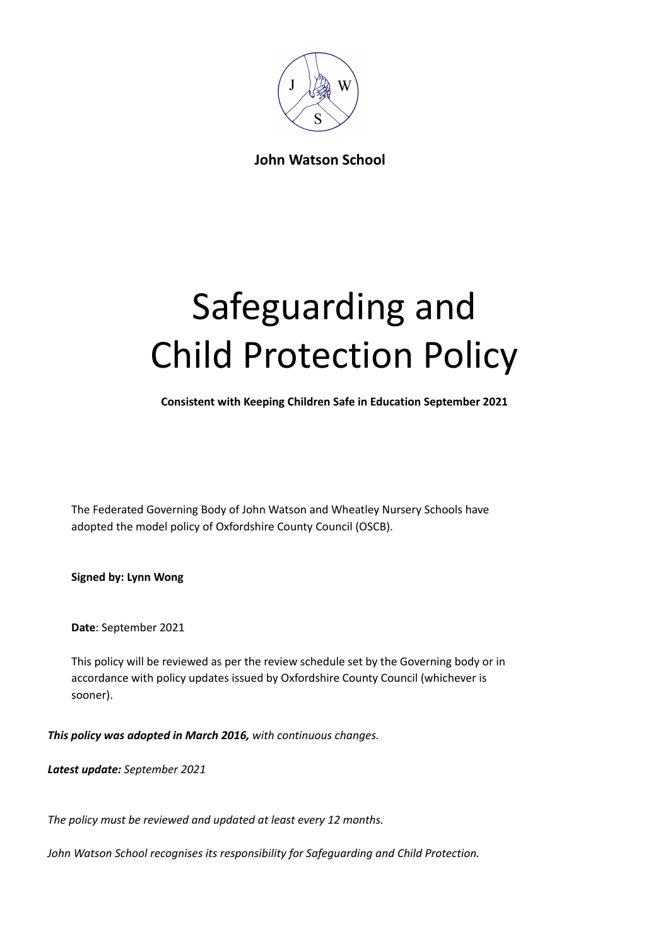

**John Watson School**

# Safeguarding and Child Protection Policy

**Consistent with Keeping Children Safe in Education September 2021**

The Federated Governing Body of John Watson and Wheatley Nursery Schools have adopted the model policy of Oxfordshire County Council (OSCB).

**Signed by: Lynn Wong**

**Date**: September 2021

This policy will be reviewed as per the review schedule set by the Governing body or in accordance with policy updates issued by Oxfordshire County Council (whichever is sooner).

*This policy was adopted in March 2016, with continuous changes.*

*Latest update: September 2021*

*The policy must be reviewed and updated at least every 12 months.*

*John Watson School recognises its responsibility for Safeguarding and Child Protection.*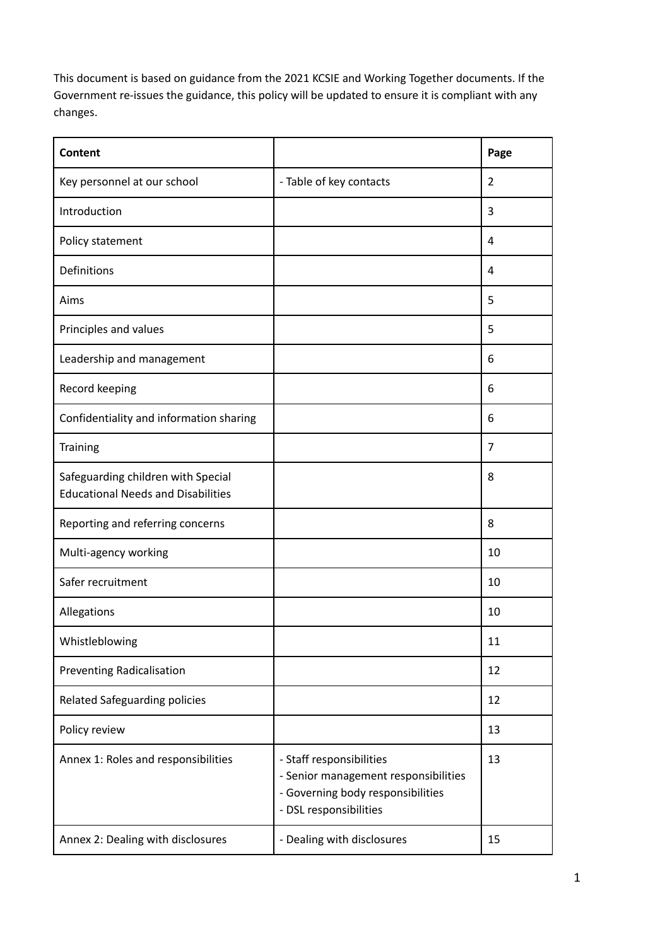This document is based on guidance from the 2021 KCSIE and Working Together documents. If the Government re-issues the guidance, this policy will be updated to ensure it is compliant with any changes.

| <b>Content</b>                                                                  |                                                                                                                                 | Page           |
|---------------------------------------------------------------------------------|---------------------------------------------------------------------------------------------------------------------------------|----------------|
| Key personnel at our school                                                     | - Table of key contacts                                                                                                         | 2              |
| Introduction                                                                    |                                                                                                                                 | 3              |
| Policy statement                                                                |                                                                                                                                 | 4              |
| Definitions                                                                     |                                                                                                                                 | 4              |
| Aims                                                                            |                                                                                                                                 | 5              |
| Principles and values                                                           |                                                                                                                                 | 5              |
| Leadership and management                                                       |                                                                                                                                 | 6              |
| Record keeping                                                                  |                                                                                                                                 | 6              |
| Confidentiality and information sharing                                         |                                                                                                                                 | 6              |
| <b>Training</b>                                                                 |                                                                                                                                 | $\overline{7}$ |
| Safeguarding children with Special<br><b>Educational Needs and Disabilities</b> |                                                                                                                                 | 8              |
| Reporting and referring concerns                                                |                                                                                                                                 | 8              |
| Multi-agency working                                                            |                                                                                                                                 | 10             |
| Safer recruitment                                                               |                                                                                                                                 | 10             |
| Allegations                                                                     |                                                                                                                                 | 10             |
| Whistleblowing                                                                  |                                                                                                                                 | 11             |
| <b>Preventing Radicalisation</b>                                                |                                                                                                                                 | 12             |
| <b>Related Safeguarding policies</b>                                            |                                                                                                                                 | 12             |
| Policy review                                                                   |                                                                                                                                 | 13             |
| Annex 1: Roles and responsibilities                                             | - Staff responsibilities<br>- Senior management responsibilities<br>- Governing body responsibilities<br>- DSL responsibilities | 13             |
| Annex 2: Dealing with disclosures                                               | - Dealing with disclosures                                                                                                      | 15             |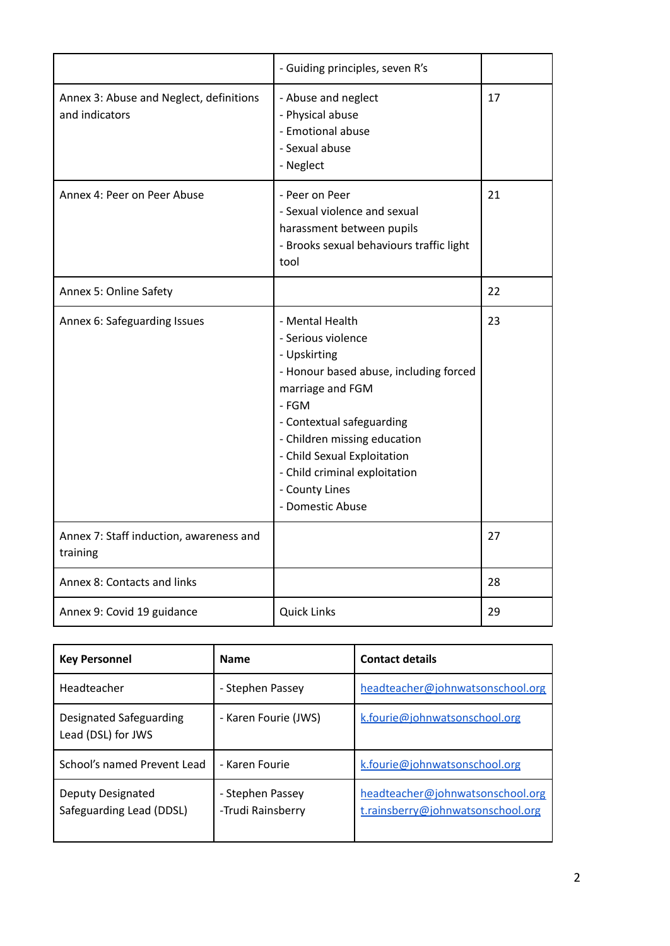|                                                           | - Guiding principles, seven R's                                                                                                                                                                                                                                                                 |    |
|-----------------------------------------------------------|-------------------------------------------------------------------------------------------------------------------------------------------------------------------------------------------------------------------------------------------------------------------------------------------------|----|
| Annex 3: Abuse and Neglect, definitions<br>and indicators | - Abuse and neglect<br>- Physical abuse<br>- Emotional abuse<br>- Sexual abuse<br>- Neglect                                                                                                                                                                                                     | 17 |
| Annex 4: Peer on Peer Abuse                               | - Peer on Peer<br>- Sexual violence and sexual<br>harassment between pupils<br>- Brooks sexual behaviours traffic light<br>tool                                                                                                                                                                 | 21 |
| Annex 5: Online Safety                                    |                                                                                                                                                                                                                                                                                                 | 22 |
| Annex 6: Safeguarding Issues                              | - Mental Health<br>- Serious violence<br>- Upskirting<br>- Honour based abuse, including forced<br>marriage and FGM<br>- FGM<br>- Contextual safeguarding<br>- Children missing education<br>- Child Sexual Exploitation<br>- Child criminal exploitation<br>- County Lines<br>- Domestic Abuse | 23 |
| Annex 7: Staff induction, awareness and<br>training       |                                                                                                                                                                                                                                                                                                 | 27 |
| Annex 8: Contacts and links                               |                                                                                                                                                                                                                                                                                                 | 28 |
| Annex 9: Covid 19 guidance                                | <b>Quick Links</b>                                                                                                                                                                                                                                                                              | 29 |

| <b>Key Personnel</b>                          | <b>Name</b>                           | <b>Contact details</b>                                                |
|-----------------------------------------------|---------------------------------------|-----------------------------------------------------------------------|
| Headteacher                                   | - Stephen Passey                      | headteacher@johnwatsonschool.org                                      |
| Designated Safeguarding<br>Lead (DSL) for JWS | - Karen Fourie (JWS)                  | k.fourie@johnwatsonschool.org                                         |
| School's named Prevent Lead                   | - Karen Fourie                        | k.fourie@johnwatsonschool.org                                         |
| Deputy Designated<br>Safeguarding Lead (DDSL) | - Stephen Passey<br>-Trudi Rainsberry | headteacher@johnwatsonschool.org<br>t.rainsberry@johnwatsonschool.org |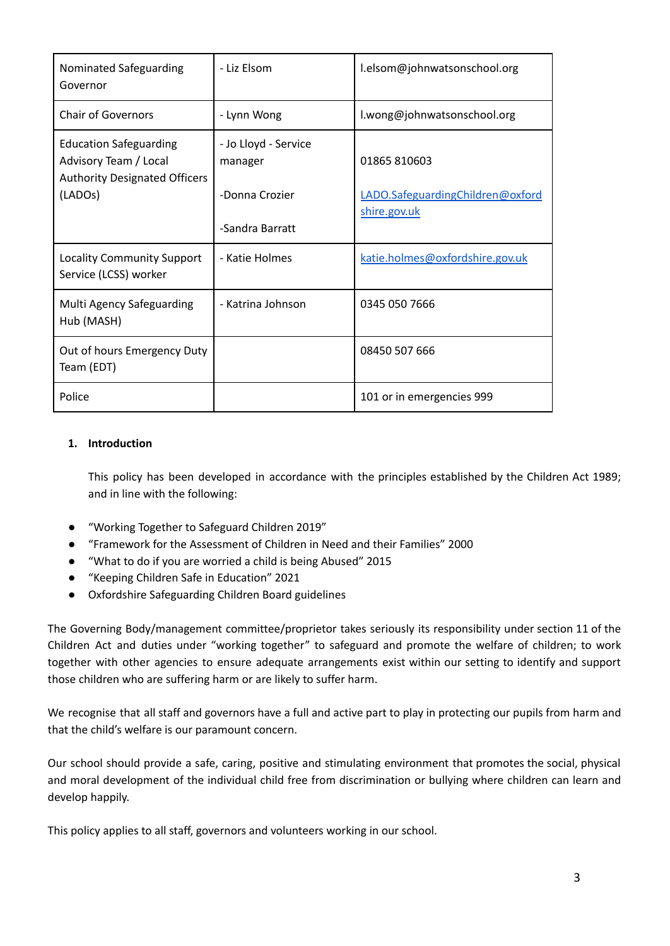| Nominated Safeguarding<br>Governor                                                             | - Liz Elsom                     | l.elsom@johnwatsonschool.org                     |
|------------------------------------------------------------------------------------------------|---------------------------------|--------------------------------------------------|
| <b>Chair of Governors</b>                                                                      | - Lynn Wong                     | l.wong@johnwatsonschool.org                      |
| <b>Education Safeguarding</b><br>Advisory Team / Local<br><b>Authority Designated Officers</b> | - Jo Lloyd - Service<br>manager | 01865810603                                      |
| (LADO <sub>S</sub> )                                                                           | -Donna Crozier                  | LADO.SafeguardingChildren@oxford<br>shire.gov.uk |
|                                                                                                | -Sandra Barratt                 |                                                  |
| <b>Locality Community Support</b><br>Service (LCSS) worker                                     | - Katie Holmes                  | katie.holmes@oxfordshire.gov.uk                  |
| Multi Agency Safeguarding<br>Hub (MASH)                                                        | - Katrina Johnson               | 0345 050 7666                                    |
| Out of hours Emergency Duty<br>Team (EDT)                                                      |                                 | 08450 507 666                                    |
| Police                                                                                         |                                 | 101 or in emergencies 999                        |

# **1. Introduction**

This policy has been developed in accordance with the principles established by the Children Act 1989; and in line with the following:

- "Working Together to Safeguard Children 2019"
- "Framework for the Assessment of Children in Need and their Families" 2000
- "What to do if you are worried a child is being Abused" 2015
- *●* "Keeping Children Safe in Education" 2021
- Oxfordshire Safeguarding Children Board guidelines

The Governing Body/management committee/proprietor takes seriously its responsibility under section 11 of the Children Act and duties under "working together" to safeguard and promote the welfare of children; to work together with other agencies to ensure adequate arrangements exist within our setting to identify and support those children who are suffering harm or are likely to suffer harm.

We recognise that all staff and governors have a full and active part to play in protecting our pupils from harm and that the child's welfare is our paramount concern.

Our school should provide a safe, caring, positive and stimulating environment that promotes the social, physical and moral development of the individual child free from discrimination or bullying where children can learn and develop happily.

This policy applies to all staff, governors and volunteers working in our school.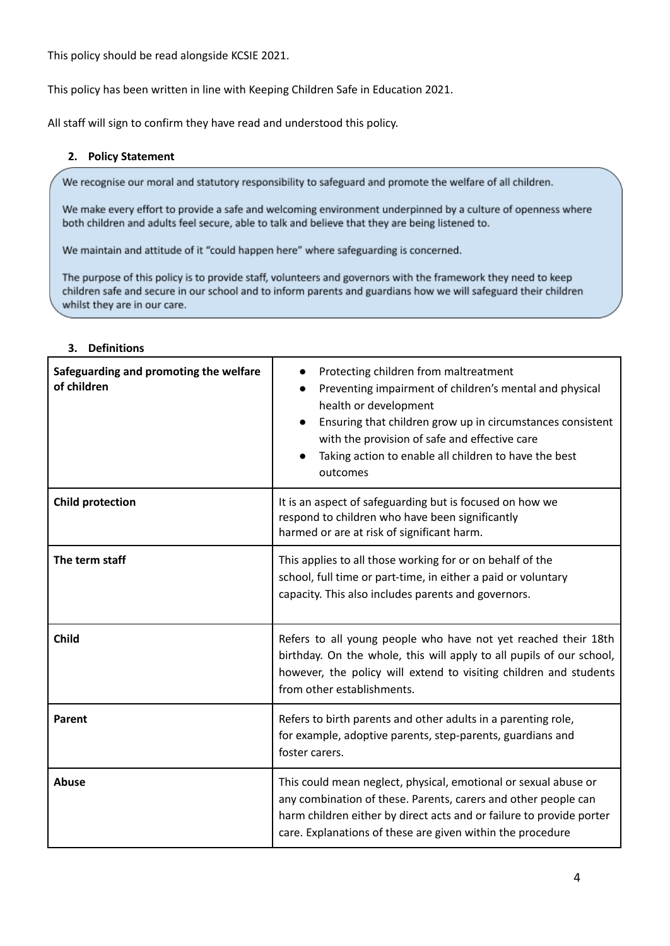This policy should be read alongside KCSIE 2021.

This policy has been written in line with Keeping Children Safe in Education 2021.

All staff will sign to confirm they have read and understood this policy.

#### **2. Policy Statement**

We recognise our moral and statutory responsibility to safeguard and promote the welfare of all children.

We make every effort to provide a safe and welcoming environment underpinned by a culture of openness where both children and adults feel secure, able to talk and believe that they are being listened to.

We maintain and attitude of it "could happen here" where safeguarding is concerned.

The purpose of this policy is to provide staff, volunteers and governors with the framework they need to keep children safe and secure in our school and to inform parents and guardians how we will safeguard their children whilst they are in our care.

#### **3. Definitions**

| Safeguarding and promoting the welfare<br>of children | Protecting children from maltreatment<br>Preventing impairment of children's mental and physical<br>health or development<br>Ensuring that children grow up in circumstances consistent<br>with the provision of safe and effective care<br>Taking action to enable all children to have the best<br>outcomes |
|-------------------------------------------------------|---------------------------------------------------------------------------------------------------------------------------------------------------------------------------------------------------------------------------------------------------------------------------------------------------------------|
| <b>Child protection</b>                               | It is an aspect of safeguarding but is focused on how we<br>respond to children who have been significantly<br>harmed or are at risk of significant harm.                                                                                                                                                     |
| The term staff                                        | This applies to all those working for or on behalf of the<br>school, full time or part-time, in either a paid or voluntary<br>capacity. This also includes parents and governors.                                                                                                                             |
| <b>Child</b>                                          | Refers to all young people who have not yet reached their 18th<br>birthday. On the whole, this will apply to all pupils of our school,<br>however, the policy will extend to visiting children and students<br>from other establishments.                                                                     |
| Parent                                                | Refers to birth parents and other adults in a parenting role,<br>for example, adoptive parents, step-parents, guardians and<br>foster carers.                                                                                                                                                                 |
| Abuse                                                 | This could mean neglect, physical, emotional or sexual abuse or<br>any combination of these. Parents, carers and other people can<br>harm children either by direct acts and or failure to provide porter<br>care. Explanations of these are given within the procedure                                       |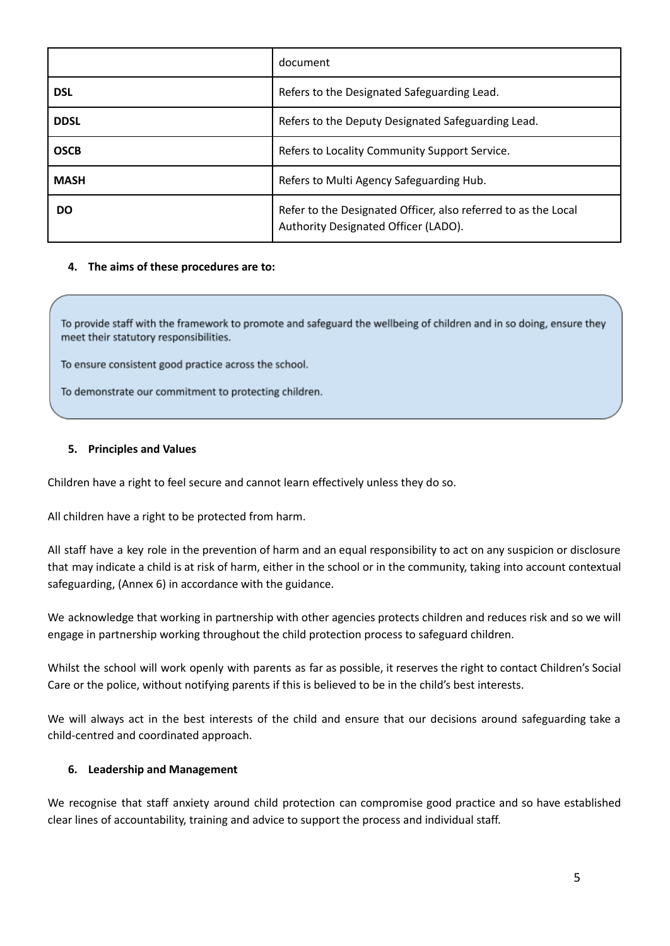|             | document                                                                                               |
|-------------|--------------------------------------------------------------------------------------------------------|
| <b>DSL</b>  | Refers to the Designated Safeguarding Lead.                                                            |
| <b>DDSL</b> | Refers to the Deputy Designated Safeguarding Lead.                                                     |
| <b>OSCB</b> | Refers to Locality Community Support Service.                                                          |
| <b>MASH</b> | Refers to Multi Agency Safeguarding Hub.                                                               |
| DO          | Refer to the Designated Officer, also referred to as the Local<br>Authority Designated Officer (LADO). |

#### **4. The aims of these procedures are to:**

To provide staff with the framework to promote and safeguard the wellbeing of children and in so doing, ensure they meet their statutory responsibilities.

To ensure consistent good practice across the school.

To demonstrate our commitment to protecting children.

#### **5. Principles and Values**

Children have a right to feel secure and cannot learn effectively unless they do so.

All children have a right to be protected from harm.

All staff have a key role in the prevention of harm and an equal responsibility to act on any suspicion or disclosure that may indicate a child is at risk of harm, either in the school or in the community, taking into account contextual safeguarding, (Annex 6) in accordance with the guidance.

We acknowledge that working in partnership with other agencies protects children and reduces risk and so we will engage in partnership working throughout the child protection process to safeguard children.

Whilst the school will work openly with parents as far as possible, it reserves the right to contact Children's Social Care or the police, without notifying parents if this is believed to be in the child's best interests.

We will always act in the best interests of the child and ensure that our decisions around safeguarding take a child-centred and coordinated approach.

#### **6. Leadership and Management**

We recognise that staff anxiety around child protection can compromise good practice and so have established clear lines of accountability, training and advice to support the process and individual staff.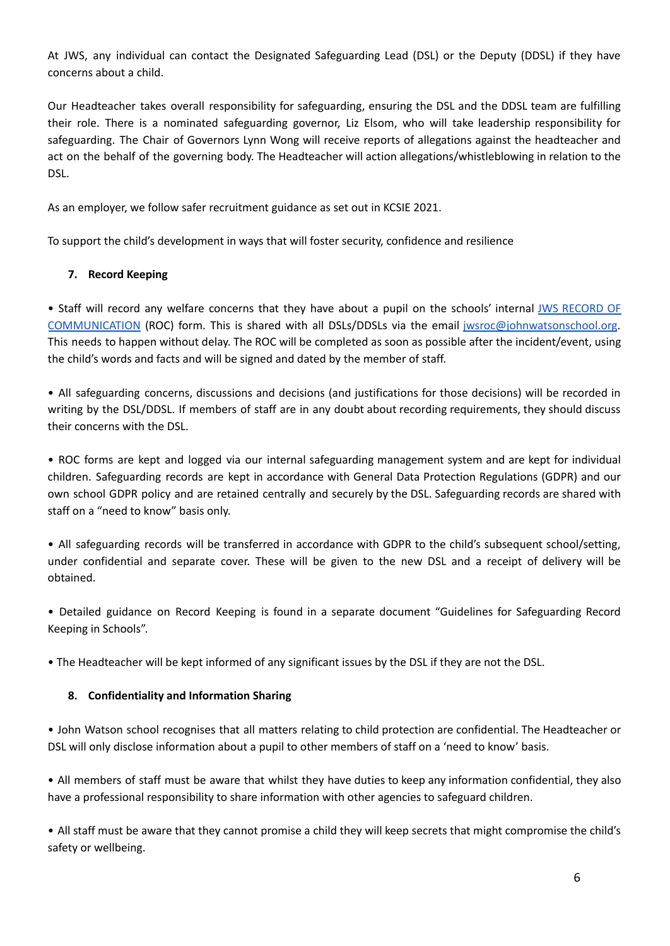At JWS, any individual can contact the Designated Safeguarding Lead (DSL) or the Deputy (DDSL) if they have concerns about a child.

Our Headteacher takes overall responsibility for safeguarding, ensuring the DSL and the DDSL team are fulfilling their role. There is a nominated safeguarding governor, Liz Elsom, who will take leadership responsibility for safeguarding. The Chair of Governors Lynn Wong will receive reports of allegations against the headteacher and act on the behalf of the governing body. The Headteacher will action allegations/whistleblowing in relation to the DSL.

As an employer, we follow safer recruitment guidance as set out in KCSIE 2021.

To support the child's development in ways that will foster security, confidence and resilience

# **7. Record Keeping**

• Staff will record any welfare concerns that they have about a pupil on the schools' internal JWS [RECORD](https://docs.google.com/document/d/1Y0to_dXjOw2mFaOmeHvRtd0mOBazXjWFrxdWlXfNyaQ/edit) OF [COMMUNICATION](https://docs.google.com/document/d/1Y0to_dXjOw2mFaOmeHvRtd0mOBazXjWFrxdWlXfNyaQ/edit) (ROC) form. This is shared with all DSLs/DDSLs via the email [jwsroc@johnwatsonschool.org](mailto:jwsroc@johnwatsonschool.org). This needs to happen without delay. The ROC will be completed as soon as possible after the incident/event, using the child's words and facts and will be signed and dated by the member of staff.

• All safeguarding concerns, discussions and decisions (and justifications for those decisions) will be recorded in writing by the DSL/DDSL. If members of staff are in any doubt about recording requirements, they should discuss their concerns with the DSL.

• ROC forms are kept and logged via our internal safeguarding management system and are kept for individual children. Safeguarding records are kept in accordance with General Data Protection Regulations (GDPR) and our own school GDPR policy and are retained centrally and securely by the DSL. Safeguarding records are shared with staff on a "need to know" basis only.

• All safeguarding records will be transferred in accordance with GDPR to the child's subsequent school/setting, under confidential and separate cover. These will be given to the new DSL and a receipt of delivery will be obtained.

• Detailed guidance on Record Keeping is found in a separate document "Guidelines for Safeguarding Record Keeping in Schools".

• The Headteacher will be kept informed of any significant issues by the DSL if they are not the DSL.

# **8. Confidentiality and Information Sharing**

• John Watson school recognises that all matters relating to child protection are confidential. The Headteacher or DSL will only disclose information about a pupil to other members of staff on a 'need to know' basis.

• All members of staff must be aware that whilst they have duties to keep any information confidential, they also have a professional responsibility to share information with other agencies to safeguard children.

• All staff must be aware that they cannot promise a child they will keep secrets that might compromise the child's safety or wellbeing.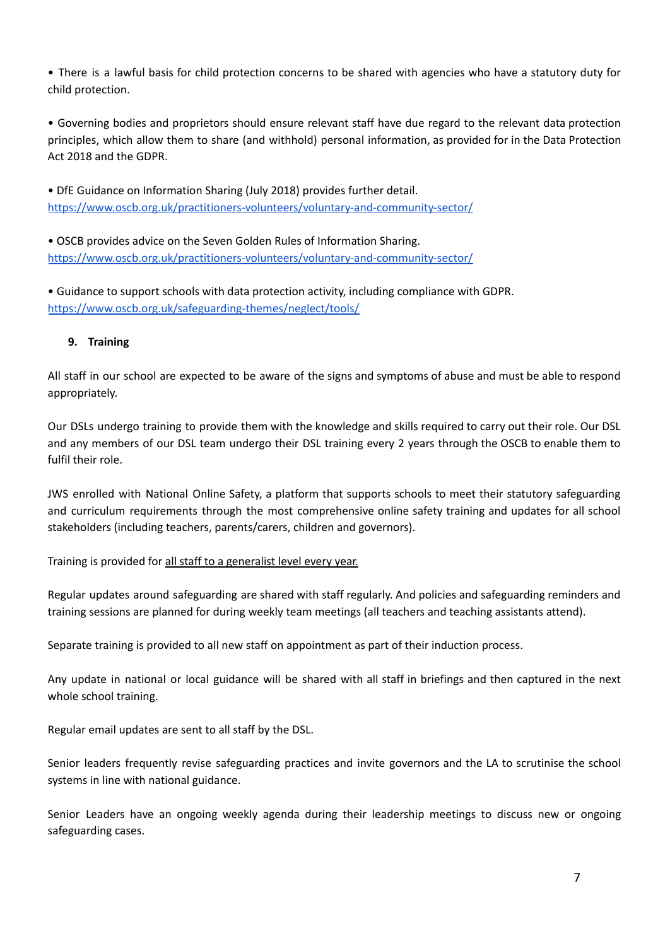• There is a lawful basis for child protection concerns to be shared with agencies who have a statutory duty for child protection.

• Governing bodies and proprietors should ensure relevant staff have due regard to the relevant data protection principles, which allow them to share (and withhold) personal information, as provided for in the Data Protection Act 2018 and the GDPR.

• DfE Guidance on Information Sharing (July 2018) provides further detail. <https://www.oscb.org.uk/practitioners-volunteers/voluntary-and-community-sector/>

• OSCB provides advice on the Seven Golden Rules of Information Sharing. <https://www.oscb.org.uk/practitioners-volunteers/voluntary-and-community-sector/>

• Guidance to support schools with data protection activity, including compliance with GDPR. <https://www.oscb.org.uk/safeguarding-themes/neglect/tools/>

# **9. Training**

All staff in our school are expected to be aware of the signs and symptoms of abuse and must be able to respond appropriately.

Our DSLs undergo training to provide them with the knowledge and skills required to carry out their role. Our DSL and any members of our DSL team undergo their DSL training every 2 years through the OSCB to enable them to fulfil their role.

JWS enrolled with National Online Safety, a platform that supports schools to meet their statutory safeguarding and curriculum requirements through the most comprehensive online safety training and updates for all school stakeholders (including teachers, parents/carers, children and governors).

Training is provided for all staff to a generalist level every year.

Regular updates around safeguarding are shared with staff regularly. And policies and safeguarding reminders and training sessions are planned for during weekly team meetings (all teachers and teaching assistants attend).

Separate training is provided to all new staff on appointment as part of their induction process.

Any update in national or local guidance will be shared with all staff in briefings and then captured in the next whole school training.

Regular email updates are sent to all staff by the DSL.

Senior leaders frequently revise safeguarding practices and invite governors and the LA to scrutinise the school systems in line with national guidance.

Senior Leaders have an ongoing weekly agenda during their leadership meetings to discuss new or ongoing safeguarding cases.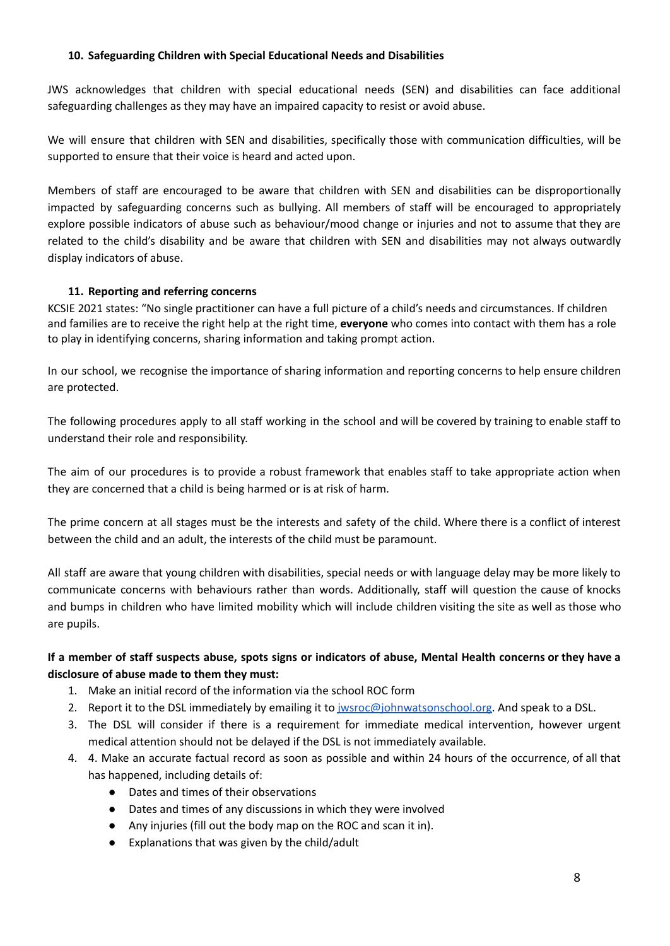# **10. Safeguarding Children with Special Educational Needs and Disabilities**

JWS acknowledges that children with special educational needs (SEN) and disabilities can face additional safeguarding challenges as they may have an impaired capacity to resist or avoid abuse.

We will ensure that children with SEN and disabilities, specifically those with communication difficulties, will be supported to ensure that their voice is heard and acted upon.

Members of staff are encouraged to be aware that children with SEN and disabilities can be disproportionally impacted by safeguarding concerns such as bullying. All members of staff will be encouraged to appropriately explore possible indicators of abuse such as behaviour/mood change or injuries and not to assume that they are related to the child's disability and be aware that children with SEN and disabilities may not always outwardly display indicators of abuse.

# **11. Reporting and referring concerns**

KCSIE 2021 states: "No single practitioner can have a full picture of a child's needs and circumstances. If children and families are to receive the right help at the right time, **everyone** who comes into contact with them has a role to play in identifying concerns, sharing information and taking prompt action.

In our school, we recognise the importance of sharing information and reporting concerns to help ensure children are protected.

The following procedures apply to all staff working in the school and will be covered by training to enable staff to understand their role and responsibility.

The aim of our procedures is to provide a robust framework that enables staff to take appropriate action when they are concerned that a child is being harmed or is at risk of harm.

The prime concern at all stages must be the interests and safety of the child. Where there is a conflict of interest between the child and an adult, the interests of the child must be paramount.

All staff are aware that young children with disabilities, special needs or with language delay may be more likely to communicate concerns with behaviours rather than words. Additionally, staff will question the cause of knocks and bumps in children who have limited mobility which will include children visiting the site as well as those who are pupils.

# If a member of staff suspects abuse, spots signs or indicators of abuse, Mental Health concerns or they have a **disclosure of abuse made to them they must:**

- 1. Make an initial record of the information via the school ROC form
- 2. Report it to the DSL immediately by emailing it to *jwsroc@johnwatsonschool.org*. And speak to a DSL.
- 3. The DSL will consider if there is a requirement for immediate medical intervention, however urgent medical attention should not be delayed if the DSL is not immediately available.
- 4. 4. Make an accurate factual record as soon as possible and within 24 hours of the occurrence, of all that has happened, including details of:
	- Dates and times of their observations
	- Dates and times of any discussions in which they were involved
	- Any injuries (fill out the body map on the ROC and scan it in).
	- Explanations that was given by the child/adult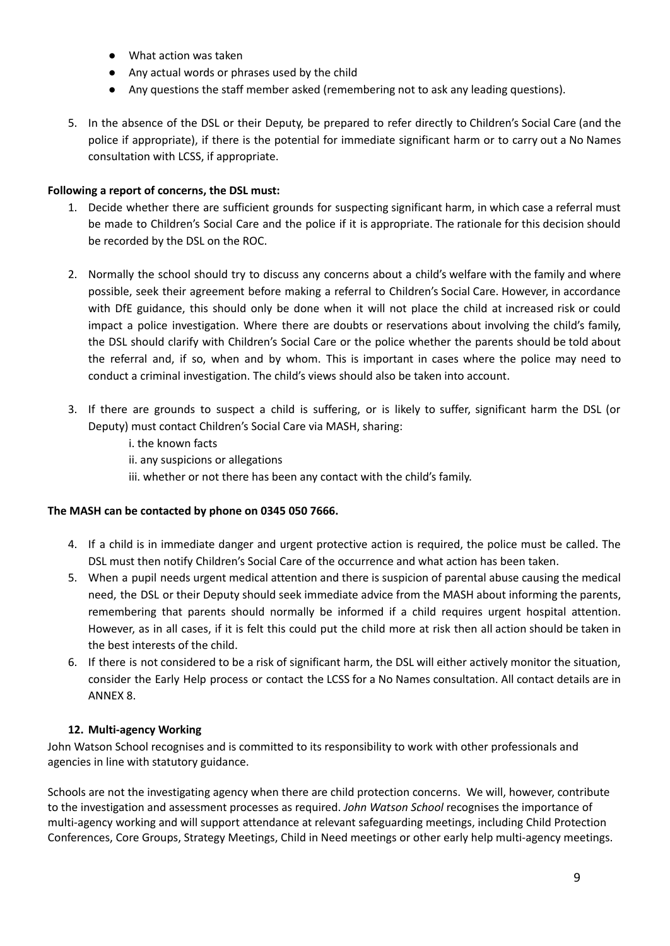- What action was taken
- Any actual words or phrases used by the child
- Any questions the staff member asked (remembering not to ask any leading questions).
- 5. In the absence of the DSL or their Deputy, be prepared to refer directly to Children's Social Care (and the police if appropriate), if there is the potential for immediate significant harm or to carry out a No Names consultation with LCSS, if appropriate.

## **Following a report of concerns, the DSL must:**

- 1. Decide whether there are sufficient grounds for suspecting significant harm, in which case a referral must be made to Children's Social Care and the police if it is appropriate. The rationale for this decision should be recorded by the DSL on the ROC.
- 2. Normally the school should try to discuss any concerns about a child's welfare with the family and where possible, seek their agreement before making a referral to Children's Social Care. However, in accordance with DfE guidance, this should only be done when it will not place the child at increased risk or could impact a police investigation. Where there are doubts or reservations about involving the child's family, the DSL should clarify with Children's Social Care or the police whether the parents should be told about the referral and, if so, when and by whom. This is important in cases where the police may need to conduct a criminal investigation. The child's views should also be taken into account.
- 3. If there are grounds to suspect a child is suffering, or is likely to suffer, significant harm the DSL (or Deputy) must contact Children's Social Care via MASH, sharing:
	- i. the known facts
	- ii. any suspicions or allegations
	- iii. whether or not there has been any contact with the child's family.

# **The MASH can be contacted by phone on 0345 050 7666.**

- 4. If a child is in immediate danger and urgent protective action is required, the police must be called. The DSL must then notify Children's Social Care of the occurrence and what action has been taken.
- 5. When a pupil needs urgent medical attention and there is suspicion of parental abuse causing the medical need, the DSL or their Deputy should seek immediate advice from the MASH about informing the parents, remembering that parents should normally be informed if a child requires urgent hospital attention. However, as in all cases, if it is felt this could put the child more at risk then all action should be taken in the best interests of the child.
- 6. If there is not considered to be a risk of significant harm, the DSL will either actively monitor the situation, consider the Early Help process or contact the LCSS for a No Names consultation. All contact details are in ANNEX 8.

# **12. Multi-agency Working**

John Watson School recognises and is committed to its responsibility to work with other professionals and agencies in line with statutory guidance.

Schools are not the investigating agency when there are child protection concerns. We will, however, contribute to the investigation and assessment processes as required. *John Watson School* recognises the importance of multi-agency working and will support attendance at relevant safeguarding meetings, including Child Protection Conferences, Core Groups, Strategy Meetings, Child in Need meetings or other early help multi-agency meetings.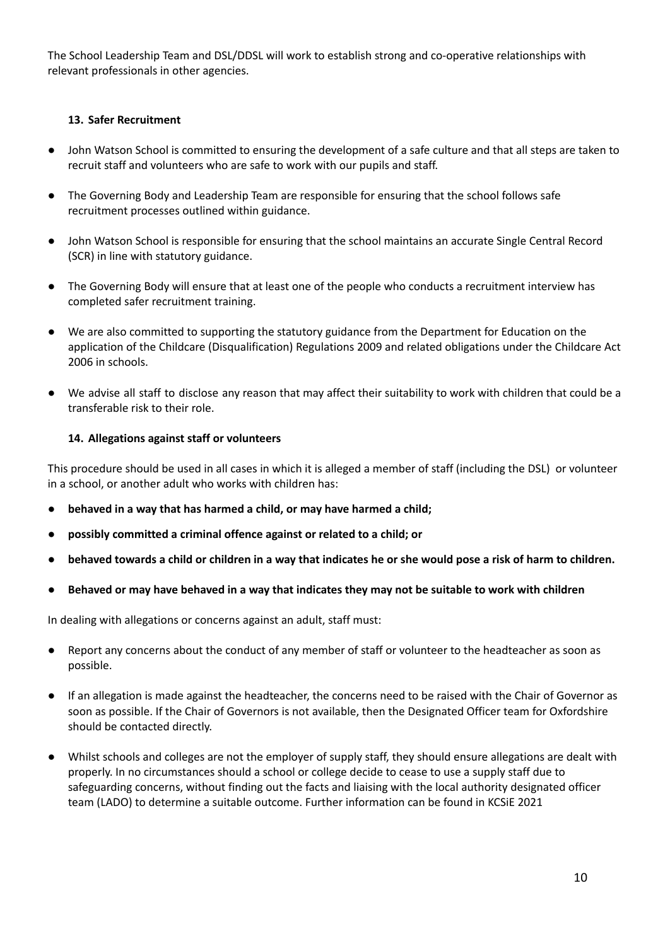The School Leadership Team and DSL/DDSL will work to establish strong and co-operative relationships with relevant professionals in other agencies.

## **13. Safer Recruitment**

- John Watson School is committed to ensuring the development of a safe culture and that all steps are taken to recruit staff and volunteers who are safe to work with our pupils and staff.
- The Governing Body and Leadership Team are responsible for ensuring that the school follows safe recruitment processes outlined within guidance.
- John Watson School is responsible for ensuring that the school maintains an accurate Single Central Record (SCR) in line with statutory guidance.
- The Governing Body will ensure that at least one of the people who conducts a recruitment interview has completed safer recruitment training.
- We are also committed to supporting the statutory guidance from the Department for Education on the application of the Childcare (Disqualification) Regulations 2009 and related obligations under the Childcare Act 2006 in schools.
- **●** We advise all staff to disclose any reason that may affect their suitability to work with children that could be a transferable risk to their role.

#### **14. Allegations against staff or volunteers**

This procedure should be used in all cases in which it is alleged a member of staff (including the DSL) or volunteer in a school, or another adult who works with children has:

- **● behaved in a way that has harmed a child, or may have harmed a child;**
- **● possibly committed a criminal offence against or related to a child; or**
- behaved towards a child or children in a way that indicates he or she would pose a risk of harm to children.
- Behaved or may have behaved in a way that indicates they may not be suitable to work with children

In dealing with allegations or concerns against an adult, staff must:

- Report any concerns about the conduct of any member of staff or volunteer to the headteacher as soon as possible.
- If an allegation is made against the headteacher, the concerns need to be raised with the Chair of Governor as soon as possible. If the Chair of Governors is not available, then the Designated Officer team for Oxfordshire should be contacted directly.
- Whilst schools and colleges are not the employer of supply staff, they should ensure allegations are dealt with properly. In no circumstances should a school or college decide to cease to use a supply staff due to safeguarding concerns, without finding out the facts and liaising with the local authority designated officer team (LADO) to determine a suitable outcome. Further information can be found in KCSiE 2021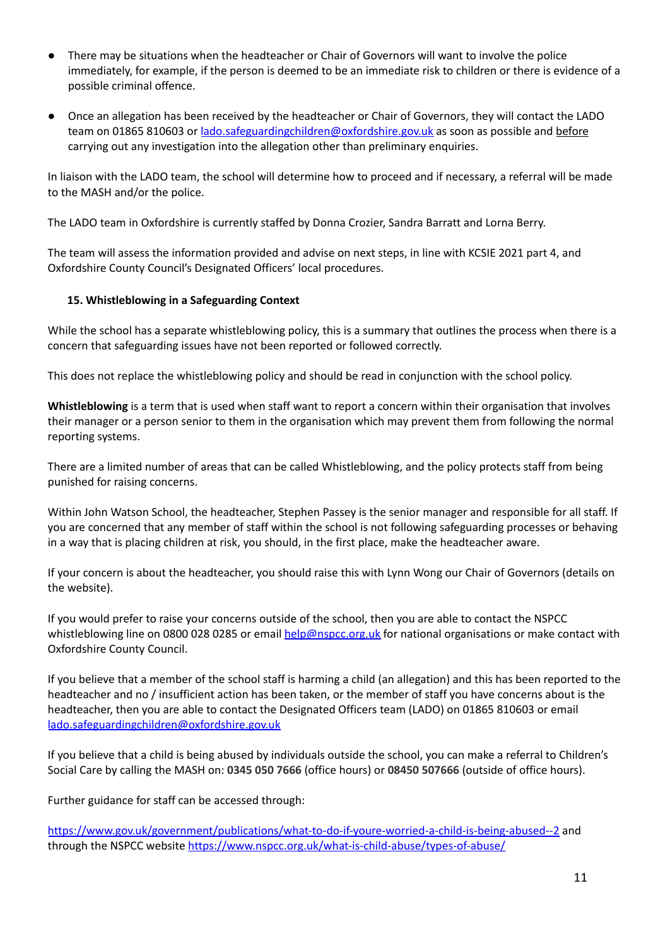- There may be situations when the headteacher or Chair of Governors will want to involve the police immediately, for example, if the person is deemed to be an immediate risk to children or there is evidence of a possible criminal offence.
- Once an allegation has been received by the headteacher or Chair of Governors, they will contact the LADO team on 01865 810603 or [lado.safeguardingchildren@oxfordshire.gov.uk](mailto:lado.safeguardingchildren@oxfordshire.gov.uk) as soon as possible and before carrying out any investigation into the allegation other than preliminary enquiries.

In liaison with the LADO team, the school will determine how to proceed and if necessary, a referral will be made to the MASH and/or the police.

The LADO team in Oxfordshire is currently staffed by Donna Crozier, Sandra Barratt and Lorna Berry.

The team will assess the information provided and advise on next steps, in line with KCSIE 2021 part 4, and Oxfordshire County Council's Designated Officers' local procedures.

#### **15. Whistleblowing in a Safeguarding Context**

While the school has a separate whistleblowing policy, this is a summary that outlines the process when there is a concern that safeguarding issues have not been reported or followed correctly.

This does not replace the whistleblowing policy and should be read in conjunction with the school policy.

**Whistleblowing** is a term that is used when staff want to report a concern within their organisation that involves their manager or a person senior to them in the organisation which may prevent them from following the normal reporting systems.

There are a limited number of areas that can be called Whistleblowing, and the policy protects staff from being punished for raising concerns.

Within John Watson School, the headteacher, Stephen Passey is the senior manager and responsible for all staff. If you are concerned that any member of staff within the school is not following safeguarding processes or behaving in a way that is placing children at risk, you should, in the first place, make the headteacher aware.

If your concern is about the headteacher, you should raise this with Lynn Wong our Chair of Governors (details on the website).

If you would prefer to raise your concerns outside of the school, then you are able to contact the NSPCC whistleblowing line on 0800 028 0285 or email [help@nspcc.org.uk](mailto:help@nspcc.org.uk) for national organisations or make contact with Oxfordshire County Council.

If you believe that a member of the school staff is harming a child (an allegation) and this has been reported to the headteacher and no / insufficient action has been taken, or the member of staff you have concerns about is the headteacher, then you are able to contact the Designated Officers team (LADO) on 01865 810603 or email [lado.safeguardingchildren@oxfordshire.gov.uk](mailto:lado.safeguardingchildren@oxfordshire.gov.uk)

If you believe that a child is being abused by individuals outside the school, you can make a referral to Children's Social Care by calling the MASH on: **0345 050 7666** (office hours) or **08450 507666** (outside of office hours).

Further guidance for staff can be accessed through:

<https://www.gov.uk/government/publications/what-to-do-if-youre-worried-a-child-is-being-abused--2> and through the NSPCC website <https://www.nspcc.org.uk/what-is-child-abuse/types-of-abuse/>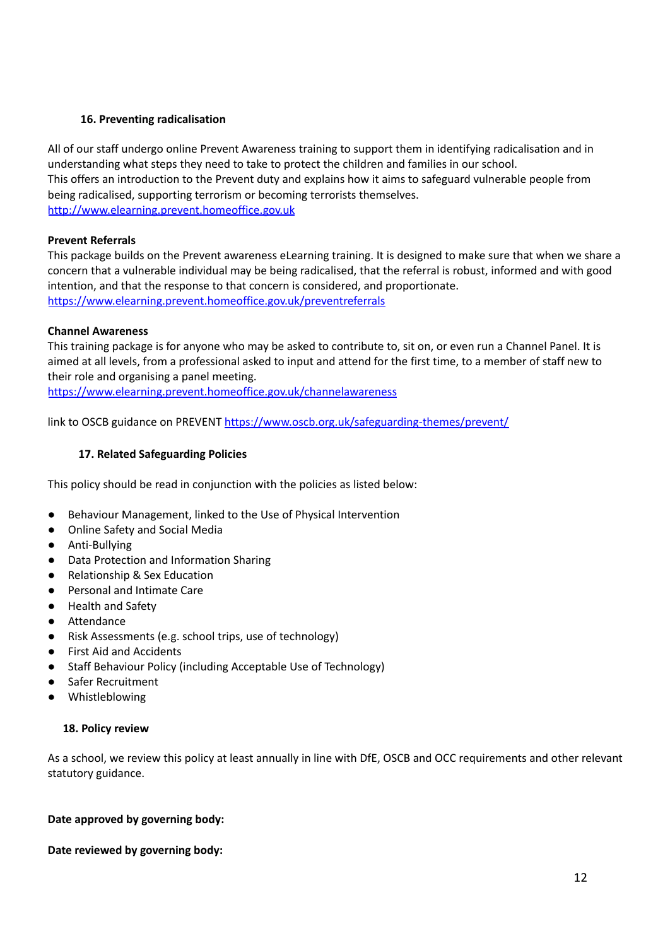# **16. Preventing radicalisation**

All of our staff undergo online Prevent Awareness training to support them in identifying radicalisation and in understanding what steps they need to take to protect the children and families in our school. This offers an introduction to the Prevent duty and explains how it aims to safeguard vulnerable people from being radicalised, supporting terrorism or becoming terrorists themselves. <http://www.elearning.prevent.homeoffice.gov.uk>

# **Prevent Referrals**

This package builds on the Prevent awareness eLearning training. It is designed to make sure that when we share a concern that a vulnerable individual may be being radicalised, that the referral is robust, informed and with good intention, and that the response to that concern is considered, and proportionate. <https://www.elearning.prevent.homeoffice.gov.uk/preventreferrals>

# **Channel Awareness**

This training package is for anyone who may be asked to contribute to, sit on, or even run a Channel Panel. It is aimed at all levels, from a professional asked to input and attend for the first time, to a member of staff new to their role and organising a panel meeting.

<https://www.elearning.prevent.homeoffice.gov.uk/channelawareness>

link to OSCB guidance on PREVENT <https://www.oscb.org.uk/safeguarding-themes/prevent/>

# **17. Related Safeguarding Policies**

This policy should be read in conjunction with the policies as listed below:

- Behaviour Management, linked to the Use of Physical Intervention
- Online Safety and Social Media
- Anti-Bullying
- Data Protection and Information Sharing
- Relationship & Sex Education
- Personal and Intimate Care
- Health and Safety
- Attendance
- Risk Assessments (e.g. school trips, use of technology)
- First Aid and Accidents
- Staff Behaviour Policy (including Acceptable Use of Technology)
- Safer Recruitment
- Whistleblowing

# **18. Policy review**

As a school, we review this policy at least annually in line with DfE, OSCB and OCC requirements and other relevant statutory guidance.

# **Date approved by governing body:**

# **Date reviewed by governing body:**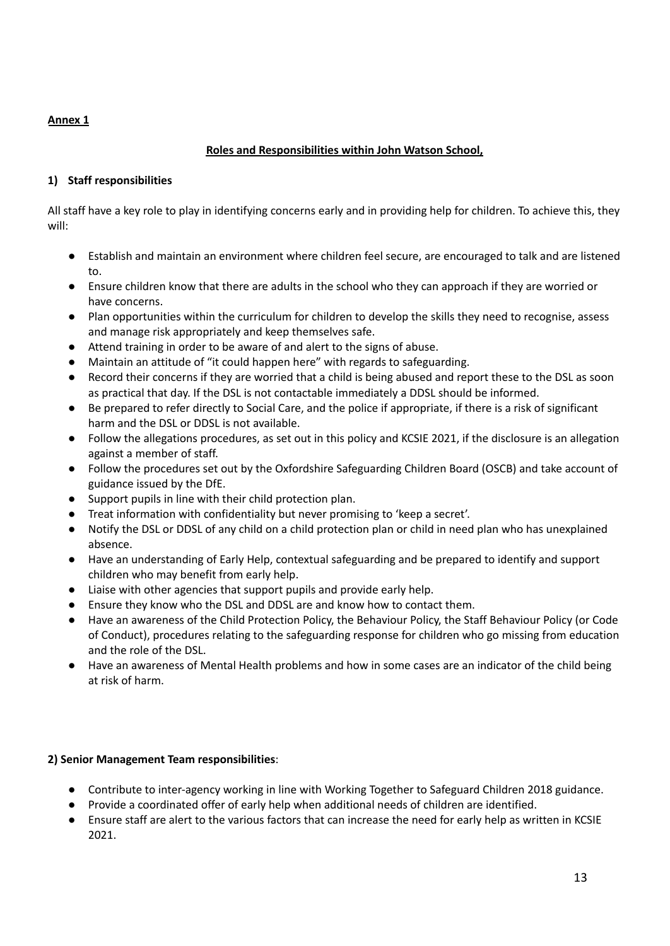# **Annex 1**

# **Roles and Responsibilities within John Watson School,**

# **1) Staff responsibilities**

All staff have a key role to play in identifying concerns early and in providing help for children. To achieve this, they will:

- Establish and maintain an environment where children feel secure, are encouraged to talk and are listened to.
- Ensure children know that there are adults in the school who they can approach if they are worried or have concerns.
- **●** Plan opportunities within the curriculum for children to develop the skills they need to recognise, assess and manage risk appropriately and keep themselves safe.
- Attend training in order to be aware of and alert to the signs of abuse.
- Maintain an attitude of "it could happen here" with regards to safeguarding.
- Record their concerns if they are worried that a child is being abused and report these to the DSL as soon as practical that day. If the DSL is not contactable immediately a DDSL should be informed.
- Be prepared to refer directly to Social Care, and the police if appropriate, if there is a risk of significant harm and the DSL or DDSL is not available.
- Follow the allegations procedures, as set out in this policy and KCSIE 2021, if the disclosure is an allegation against a member of staff.
- Follow the procedures set out by the Oxfordshire Safeguarding Children Board (OSCB) and take account of guidance issued by the DfE.
- Support pupils in line with their child protection plan.
- Treat information with confidentiality but never promising to 'keep a secret'.
- Notify the DSL or DDSL of any child on a child protection plan or child in need plan who has unexplained absence.
- Have an understanding of Early Help, contextual safeguarding and be prepared to identify and support children who may benefit from early help.
- Liaise with other agencies that support pupils and provide early help.
- Ensure they know who the DSL and DDSL are and know how to contact them.
- Have an awareness of the Child Protection Policy, the Behaviour Policy, the Staff Behaviour Policy (or Code of Conduct), procedures relating to the safeguarding response for children who go missing from education and the role of the DSL.
- Have an awareness of Mental Health problems and how in some cases are an indicator of the child being at risk of harm.

# **2) Senior Management Team responsibilities**:

- Contribute to inter-agency working in line with Working Together to Safeguard Children 2018 guidance.
- Provide a coordinated offer of early help when additional needs of children are identified.
- Ensure staff are alert to the various factors that can increase the need for early help as written in KCSIE 2021.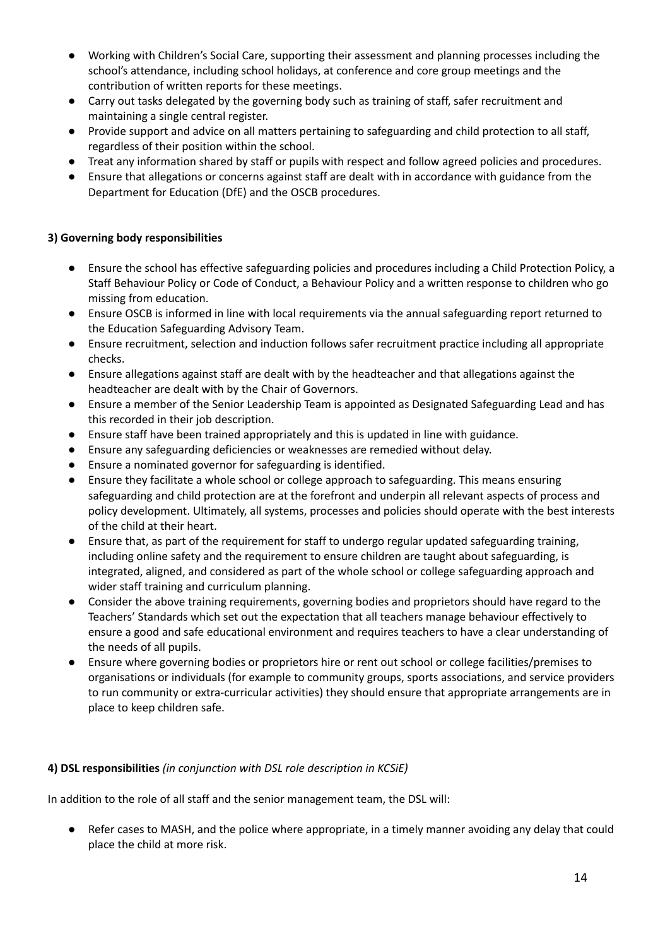- Working with Children's Social Care, supporting their assessment and planning processes including the school's attendance, including school holidays, at conference and core group meetings and the contribution of written reports for these meetings.
- Carry out tasks delegated by the governing body such as training of staff, safer recruitment and maintaining a single central register.
- Provide support and advice on all matters pertaining to safeguarding and child protection to all staff, regardless of their position within the school.
- Treat any information shared by staff or pupils with respect and follow agreed policies and procedures.
- Ensure that allegations or concerns against staff are dealt with in accordance with guidance from the Department for Education (DfE) and the OSCB procedures.

# **3) Governing body responsibilities**

- Ensure the school has effective safeguarding policies and procedures including a Child Protection Policy, a Staff Behaviour Policy or Code of Conduct, a Behaviour Policy and a written response to children who go missing from education.
- Ensure OSCB is informed in line with local requirements via the annual safeguarding report returned to the Education Safeguarding Advisory Team.
- Ensure recruitment, selection and induction follows safer recruitment practice including all appropriate checks.
- Ensure allegations against staff are dealt with by the headteacher and that allegations against the headteacher are dealt with by the Chair of Governors.
- Ensure a member of the Senior Leadership Team is appointed as Designated Safeguarding Lead and has this recorded in their job description.
- Ensure staff have been trained appropriately and this is updated in line with guidance.
- Ensure any safeguarding deficiencies or weaknesses are remedied without delay.
- Ensure a nominated governor for safeguarding is identified.
- Ensure they facilitate a whole school or college approach to safeguarding. This means ensuring safeguarding and child protection are at the forefront and underpin all relevant aspects of process and policy development. Ultimately, all systems, processes and policies should operate with the best interests of the child at their heart.
- Ensure that, as part of the requirement for staff to undergo regular updated safeguarding training, including online safety and the requirement to ensure children are taught about safeguarding, is integrated, aligned, and considered as part of the whole school or college safeguarding approach and wider staff training and curriculum planning.
- Consider the above training requirements, governing bodies and proprietors should have regard to the Teachers' Standards which set out the expectation that all teachers manage behaviour effectively to ensure a good and safe educational environment and requires teachers to have a clear understanding of the needs of all pupils.
- Ensure where governing bodies or proprietors hire or rent out school or college facilities/premises to organisations or individuals (for example to community groups, sports associations, and service providers to run community or extra-curricular activities) they should ensure that appropriate arrangements are in place to keep children safe.

# **4) DSL responsibilities** *(in conjunction with DSL role description in KCSiE)*

In addition to the role of all staff and the senior management team, the DSL will:

Refer cases to MASH, and the police where appropriate, in a timely manner avoiding any delay that could place the child at more risk.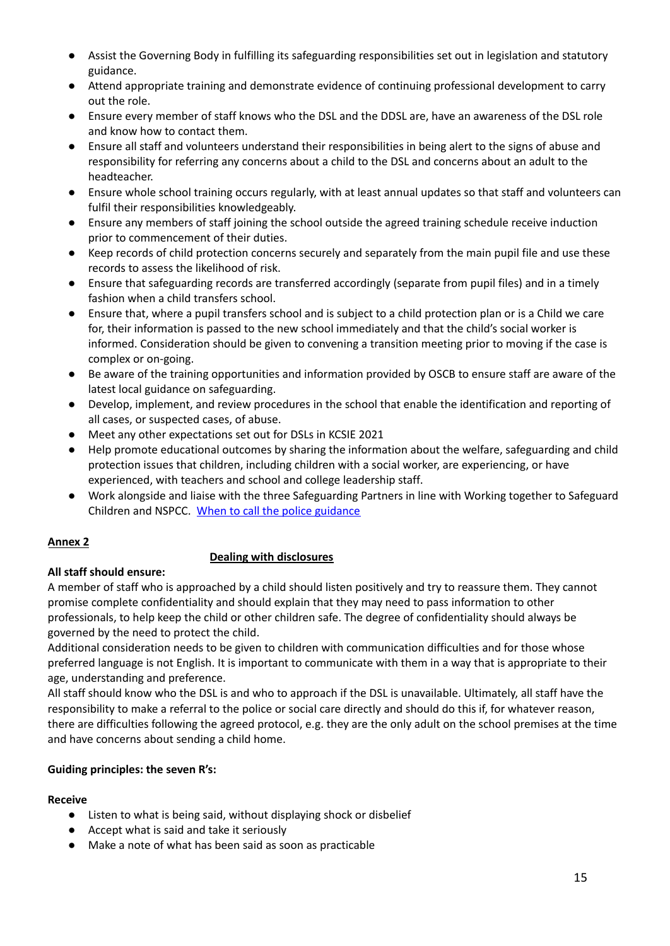- Assist the Governing Body in fulfilling its safeguarding responsibilities set out in legislation and statutory guidance.
- Attend appropriate training and demonstrate evidence of continuing professional development to carry out the role.
- Ensure every member of staff knows who the DSL and the DDSL are, have an awareness of the DSL role and know how to contact them.
- Ensure all staff and volunteers understand their responsibilities in being alert to the signs of abuse and responsibility for referring any concerns about a child to the DSL and concerns about an adult to the headteacher.
- Ensure whole school training occurs regularly, with at least annual updates so that staff and volunteers can fulfil their responsibilities knowledgeably.
- Ensure any members of staff joining the school outside the agreed training schedule receive induction prior to commencement of their duties.
- Keep records of child protection concerns securely and separately from the main pupil file and use these records to assess the likelihood of risk.
- Ensure that safeguarding records are transferred accordingly (separate from pupil files) and in a timely fashion when a child transfers school.
- Ensure that, where a pupil transfers school and is subject to a child protection plan or is a Child we care for, their information is passed to the new school immediately and that the child's social worker is informed. Consideration should be given to convening a transition meeting prior to moving if the case is complex or on-going.
- Be aware of the training opportunities and information provided by OSCB to ensure staff are aware of the latest local guidance on safeguarding.
- Develop, implement, and review procedures in the school that enable the identification and reporting of all cases, or suspected cases, of abuse.
- Meet any other expectations set out for DSLs in KCSIE 2021
- Help promote educational outcomes by sharing the information about the welfare, safeguarding and child protection issues that children, including children with a social worker, are experiencing, or have experienced, with teachers and school and college leadership staff.
- Work alongside and liaise with the three Safeguarding Partners in line with Working together to Safeguard Children and NSPCC. When to call the police [guidance](https://www.npcc.police.uk/documents/Children%20and%20Young%20people/When%20to%20call%20the%20police%20guidance%20for%20schools%20and%20colleges.pdf)

# **Annex 2**

# **Dealing with disclosures**

# **All staff should ensure:**

A member of staff who is approached by a child should listen positively and try to reassure them. They cannot promise complete confidentiality and should explain that they may need to pass information to other professionals, to help keep the child or other children safe. The degree of confidentiality should always be governed by the need to protect the child.

Additional consideration needs to be given to children with communication difficulties and for those whose preferred language is not English. It is important to communicate with them in a way that is appropriate to their age, understanding and preference.

All staff should know who the DSL is and who to approach if the DSL is unavailable. Ultimately, all staff have the responsibility to make a referral to the police or social care directly and should do this if, for whatever reason, there are difficulties following the agreed protocol, e.g. they are the only adult on the school premises at the time and have concerns about sending a child home.

# **Guiding principles: the seven R's:**

# **Receive**

- Listen to what is being said, without displaying shock or disbelief
- Accept what is said and take it seriously
- Make a note of what has been said as soon as practicable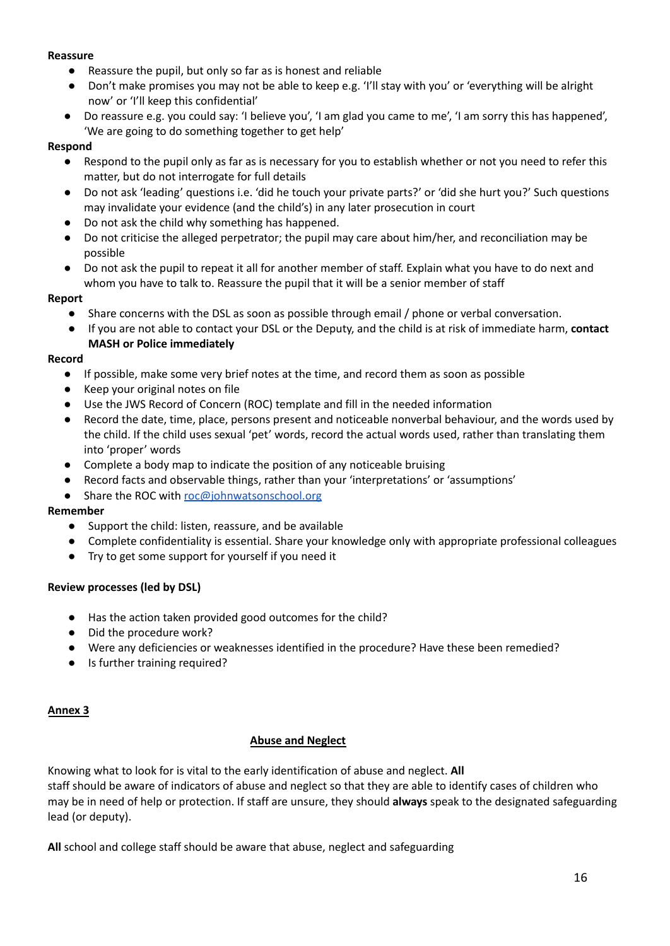#### **Reassure**

- Reassure the pupil, but only so far as is honest and reliable
- Don't make promises you may not be able to keep e.g. 'I'll stay with you' or 'everything will be alright now' or 'I'll keep this confidential'
- Do reassure e.g. you could say: 'I believe you', 'I am glad you came to me', 'I am sorry this has happened', 'We are going to do something together to get help'

# **Respond**

- Respond to the pupil only as far as is necessary for you to establish whether or not you need to refer this matter, but do not interrogate for full details
- Do not ask 'leading' questions i.e. 'did he touch your private parts?' or 'did she hurt you?' Such questions may invalidate your evidence (and the child's) in any later prosecution in court
- Do not ask the child why something has happened.
- Do not criticise the alleged perpetrator; the pupil may care about him/her, and reconciliation may be possible
- Do not ask the pupil to repeat it all for another member of staff. Explain what you have to do next and whom you have to talk to. Reassure the pupil that it will be a senior member of staff

#### **Report**

- Share concerns with the DSL as soon as possible through email / phone or verbal conversation.
- If you are not able to contact your DSL or the Deputy, and the child is at risk of immediate harm, **contact MASH or Police immediately**

#### **Record**

- If possible, make some very brief notes at the time, and record them as soon as possible
- Keep your original notes on file
- Use the JWS Record of Concern (ROC) template and fill in the needed information
- Record the date, time, place, persons present and noticeable nonverbal behaviour, and the words used by the child. If the child uses sexual 'pet' words, record the actual words used, rather than translating them into 'proper' words
- Complete a body map to indicate the position of any noticeable bruising
- Record facts and observable things, rather than your 'interpretations' or 'assumptions'
- Share the ROC with [roc@johnwatsonschool.org](mailto:roc@johnwatsonschool.org)

# **Remember**

- Support the child: listen, reassure, and be available
- Complete confidentiality is essential. Share your knowledge only with appropriate professional colleagues
- Try to get some support for yourself if you need it

# **Review processes (led by DSL)**

- Has the action taken provided good outcomes for the child?
- Did the procedure work?
- Were any deficiencies or weaknesses identified in the procedure? Have these been remedied?
- Is further training required?

#### **Annex 3**

# **Abuse and Neglect**

Knowing what to look for is vital to the early identification of abuse and neglect. **All** staff should be aware of indicators of abuse and neglect so that they are able to identify cases of children who may be in need of help or protection. If staff are unsure, they should **always** speak to the designated safeguarding lead (or deputy).

**All** school and college staff should be aware that abuse, neglect and safeguarding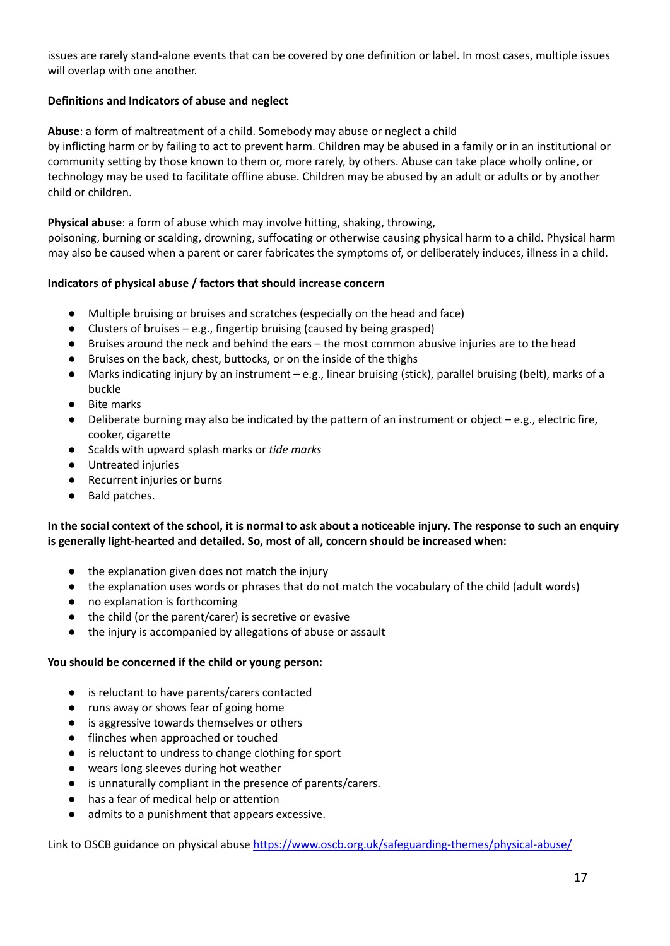issues are rarely stand-alone events that can be covered by one definition or label. In most cases, multiple issues will overlap with one another.

# **Definitions and Indicators of abuse and neglect**

**Abuse**: a form of maltreatment of a child. Somebody may abuse or neglect a child

by inflicting harm or by failing to act to prevent harm. Children may be abused in a family or in an institutional or community setting by those known to them or, more rarely, by others. Abuse can take place wholly online, or technology may be used to facilitate offline abuse. Children may be abused by an adult or adults or by another child or children.

**Physical abuse**: a form of abuse which may involve hitting, shaking, throwing,

poisoning, burning or scalding, drowning, suffocating or otherwise causing physical harm to a child. Physical harm may also be caused when a parent or carer fabricates the symptoms of, or deliberately induces, illness in a child.

#### **Indicators of physical abuse / factors that should increase concern**

- Multiple bruising or bruises and scratches (especially on the head and face)
- Clusters of bruises e.g., fingertip bruising (caused by being grasped)
- Bruises around the neck and behind the ears the most common abusive injuries are to the head
- Bruises on the back, chest, buttocks, or on the inside of the thighs
- Marks indicating injury by an instrument e.g., linear bruising (stick), parallel bruising (belt), marks of a buckle
- **Bite marks**
- Deliberate burning may also be indicated by the pattern of an instrument or object e.g., electric fire, cooker, cigarette
- Scalds with upward splash marks or *tide marks*
- Untreated injuries
- Recurrent injuries or burns
- Bald patches.

#### In the social context of the school, it is normal to ask about a noticeable injury. The response to such an enquiry **is generally light-hearted and detailed. So, most of all, concern should be increased when:**

- the explanation given does not match the injury
- the explanation uses words or phrases that do not match the vocabulary of the child (adult words)
- no explanation is forthcoming
- the child (or the parent/carer) is secretive or evasive
- the injury is accompanied by allegations of abuse or assault

#### **You should be concerned if the child or young person:**

- is reluctant to have parents/carers contacted
- runs away or shows fear of going home
- is aggressive towards themselves or others
- flinches when approached or touched
- is reluctant to undress to change clothing for sport
- wears long sleeves during hot weather
- is unnaturally compliant in the presence of parents/carers.
- has a fear of medical help or attention
- admits to a punishment that appears excessive.

Link to OSCB guidance on physical abuse <https://www.oscb.org.uk/safeguarding-themes/physical-abuse/>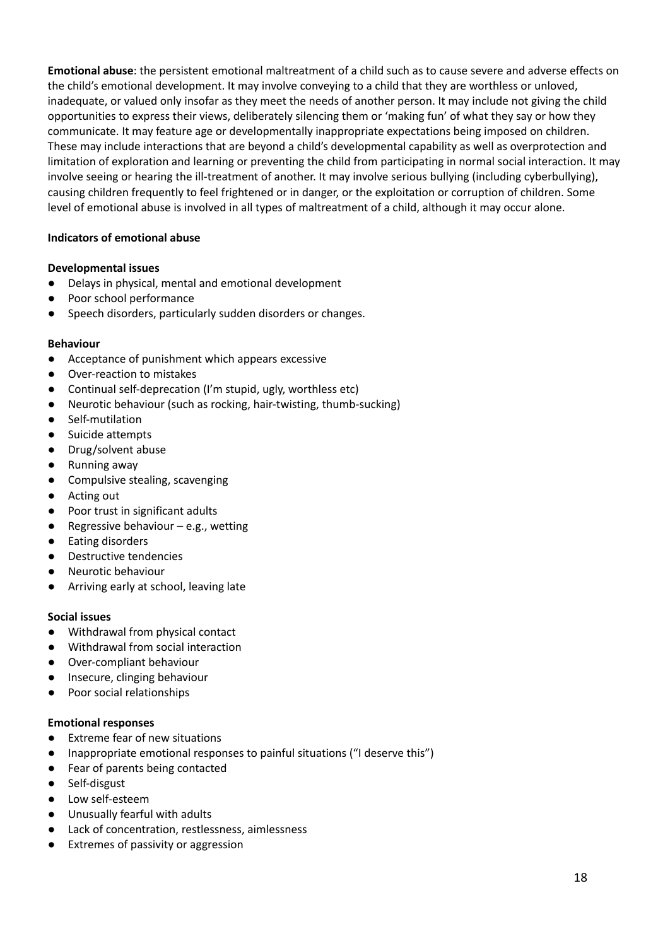**Emotional abuse**: the persistent emotional maltreatment of a child such as to cause severe and adverse effects on the child's emotional development. It may involve conveying to a child that they are worthless or unloved, inadequate, or valued only insofar as they meet the needs of another person. It may include not giving the child opportunities to express their views, deliberately silencing them or 'making fun' of what they say or how they communicate. It may feature age or developmentally inappropriate expectations being imposed on children. These may include interactions that are beyond a child's developmental capability as well as overprotection and limitation of exploration and learning or preventing the child from participating in normal social interaction. It may involve seeing or hearing the ill-treatment of another. It may involve serious bullying (including cyberbullying), causing children frequently to feel frightened or in danger, or the exploitation or corruption of children. Some level of emotional abuse is involved in all types of maltreatment of a child, although it may occur alone.

#### **Indicators of emotional abuse**

#### **Developmental issues**

- Delays in physical, mental and emotional development
- Poor school performance
- Speech disorders, particularly sudden disorders or changes.

#### **Behaviour**

- Acceptance of punishment which appears excessive
- Over-reaction to mistakes
- Continual self-deprecation (I'm stupid, ugly, worthless etc)
- Neurotic behaviour (such as rocking, hair-twisting, thumb-sucking)
- Self-mutilation
- Suicide attempts
- Drug/solvent abuse
- Running away
- Compulsive stealing, scavenging
- Acting out
- Poor trust in significant adults
- $\bullet$  Regressive behaviour e.g., wetting
- Eating disorders
- Destructive tendencies
- Neurotic behaviour
- Arriving early at school, leaving late

#### **Social issues**

- Withdrawal from physical contact
- Withdrawal from social interaction
- Over-compliant behaviour
- Insecure, clinging behaviour
- Poor social relationships

#### **Emotional responses**

- Extreme fear of new situations
- Inappropriate emotional responses to painful situations ("I deserve this")
- Fear of parents being contacted
- Self-disgust
- Low self-esteem
- Unusually fearful with adults
- Lack of concentration, restlessness, aimlessness
- Extremes of passivity or aggression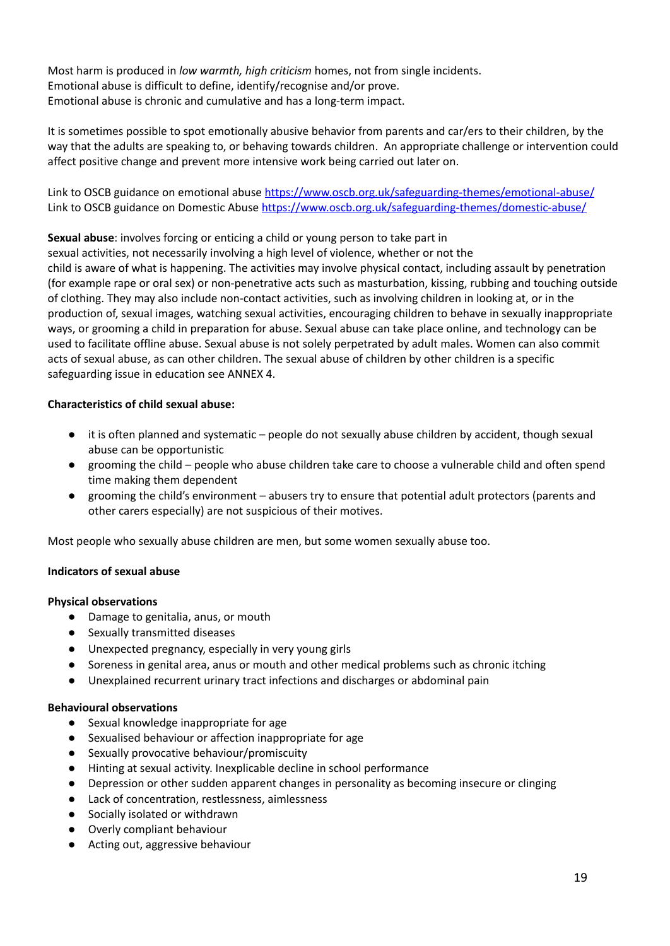Most harm is produced in *low warmth, high criticism* homes, not from single incidents. Emotional abuse is difficult to define, identify/recognise and/or prove. Emotional abuse is chronic and cumulative and has a long-term impact.

It is sometimes possible to spot emotionally abusive behavior from parents and car/ers to their children, by the way that the adults are speaking to, or behaving towards children. An appropriate challenge or intervention could affect positive change and prevent more intensive work being carried out later on.

Link to OSCB guidance on emotional abuse <https://www.oscb.org.uk/safeguarding-themes/emotional-abuse/> Link to OSCB guidance on Domestic Abuse <https://www.oscb.org.uk/safeguarding-themes/domestic-abuse/>

**Sexual abuse**: involves forcing or enticing a child or young person to take part in

sexual activities, not necessarily involving a high level of violence, whether or not the

child is aware of what is happening. The activities may involve physical contact, including assault by penetration (for example rape or oral sex) or non-penetrative acts such as masturbation, kissing, rubbing and touching outside of clothing. They may also include non-contact activities, such as involving children in looking at, or in the production of, sexual images, watching sexual activities, encouraging children to behave in sexually inappropriate ways, or grooming a child in preparation for abuse. Sexual abuse can take place online, and technology can be used to facilitate offline abuse. Sexual abuse is not solely perpetrated by adult males. Women can also commit acts of sexual abuse, as can other children. The sexual abuse of children by other children is a specific safeguarding issue in education see ANNEX 4.

#### **Characteristics of child sexual abuse:**

- it is often planned and systematic people do not sexually abuse children by accident, though sexual abuse can be opportunistic
- grooming the child people who abuse children take care to choose a vulnerable child and often spend time making them dependent
- grooming the child's environment abusers try to ensure that potential adult protectors (parents and other carers especially) are not suspicious of their motives.

Most people who sexually abuse children are men, but some women sexually abuse too.

#### **Indicators of sexual abuse**

#### **Physical observations**

- Damage to genitalia, anus, or mouth
- Sexually transmitted diseases
- Unexpected pregnancy, especially in very young girls
- Soreness in genital area, anus or mouth and other medical problems such as chronic itching
- Unexplained recurrent urinary tract infections and discharges or abdominal pain

#### **Behavioural observations**

- Sexual knowledge inappropriate for age
- Sexualised behaviour or affection inappropriate for age
- Sexually provocative behaviour/promiscuity
- Hinting at sexual activity. Inexplicable decline in school performance
- Depression or other sudden apparent changes in personality as becoming insecure or clinging
- Lack of concentration, restlessness, aimlessness
- Socially isolated or withdrawn
- Overly compliant behaviour
- Acting out, aggressive behaviour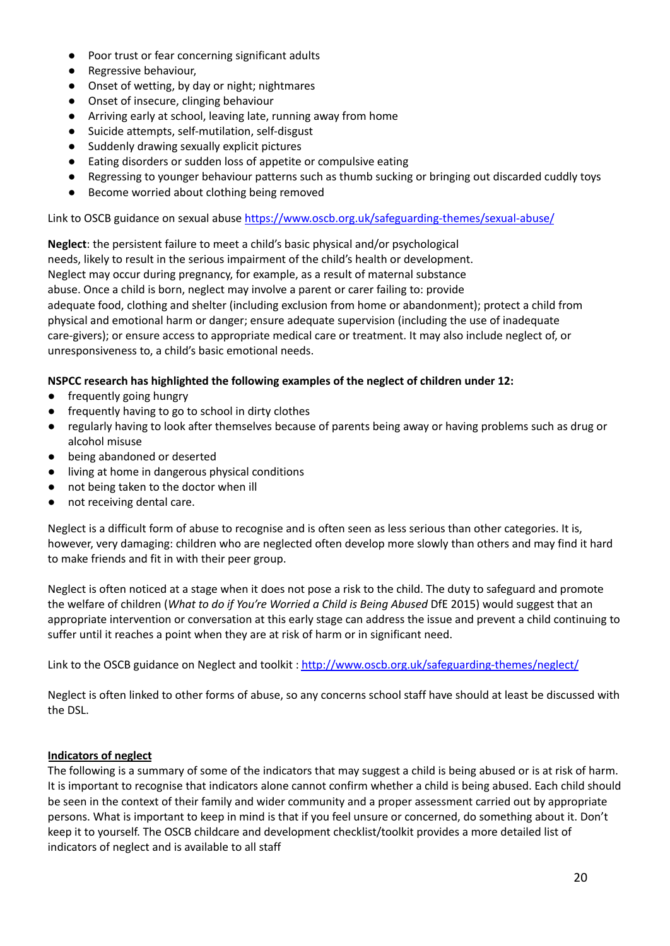- Poor trust or fear concerning significant adults
- Regressive behaviour,
- Onset of wetting, by day or night; nightmares
- Onset of insecure, clinging behaviour
- Arriving early at school, leaving late, running away from home
- Suicide attempts, self-mutilation, self-disgust
- Suddenly drawing sexually explicit pictures
- Eating disorders or sudden loss of appetite or compulsive eating
- Regressing to younger behaviour patterns such as thumb sucking or bringing out discarded cuddly toys
- Become worried about clothing being removed

Link to OSCB guidance on sexual abuse <https://www.oscb.org.uk/safeguarding-themes/sexual-abuse/>

**Neglect**: the persistent failure to meet a child's basic physical and/or psychological needs, likely to result in the serious impairment of the child's health or development. Neglect may occur during pregnancy, for example, as a result of maternal substance abuse. Once a child is born, neglect may involve a parent or carer failing to: provide adequate food, clothing and shelter (including exclusion from home or abandonment); protect a child from physical and emotional harm or danger; ensure adequate supervision (including the use of inadequate care-givers); or ensure access to appropriate medical care or treatment. It may also include neglect of, or unresponsiveness to, a child's basic emotional needs.

# **NSPCC research has highlighted the following examples of the neglect of children under 12:**

- frequently going hungry
- frequently having to go to school in dirty clothes
- regularly having to look after themselves because of parents being away or having problems such as drug or alcohol misuse
- being abandoned or deserted
- living at home in dangerous physical conditions
- not being taken to the doctor when ill
- not receiving dental care.

Neglect is a difficult form of abuse to recognise and is often seen as less serious than other categories. It is, however, very damaging: children who are neglected often develop more slowly than others and may find it hard to make friends and fit in with their peer group.

Neglect is often noticed at a stage when it does not pose a risk to the child. The duty to safeguard and promote the welfare of children (*What to do if You're Worried a Child is Being Abused* DfE 2015) would suggest that an appropriate intervention or conversation at this early stage can address the issue and prevent a child continuing to suffer until it reaches a point when they are at risk of harm or in significant need.

Link to the OSCB guidance on Neglect and toolkit: <http://www.oscb.org.uk/safeguarding-themes/neglect/>

Neglect is often linked to other forms of abuse, so any concerns school staff have should at least be discussed with the DSL.

# **Indicators of neglect**

The following is a summary of some of the indicators that may suggest a child is being abused or is at risk of harm. It is important to recognise that indicators alone cannot confirm whether a child is being abused. Each child should be seen in the context of their family and wider community and a proper assessment carried out by appropriate persons. What is important to keep in mind is that if you feel unsure or concerned, do something about it. Don't keep it to yourself. The OSCB childcare and development checklist/toolkit provides a more detailed list of indicators of neglect and is available to all staff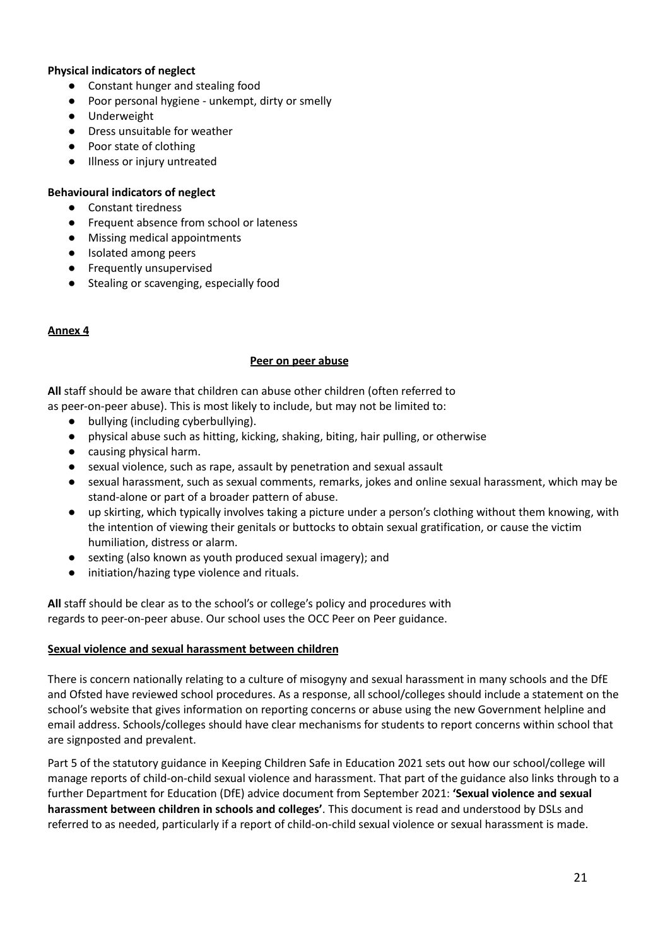#### **Physical indicators of neglect**

- Constant hunger and stealing food
- Poor personal hygiene unkempt, dirty or smelly
- Underweight
- Dress unsuitable for weather
- Poor state of clothing
- Illness or injury untreated

#### **Behavioural indicators of neglect**

- Constant tiredness
- Frequent absence from school or lateness
- Missing medical appointments
- Isolated among peers
- Frequently unsupervised
- Stealing or scavenging, especially food

#### **Annex 4**

#### **Peer on peer abuse**

**All** staff should be aware that children can abuse other children (often referred to as peer-on-peer abuse). This is most likely to include, but may not be limited to:

- bullying (including cyberbullying).
- physical abuse such as hitting, kicking, shaking, biting, hair pulling, or otherwise
- causing physical harm.
- sexual violence, such as rape, assault by penetration and sexual assault
- sexual harassment, such as sexual comments, remarks, jokes and online sexual harassment, which may be stand-alone or part of a broader pattern of abuse.
- up skirting, which typically involves taking a picture under a person's clothing without them knowing, with the intention of viewing their genitals or buttocks to obtain sexual gratification, or cause the victim humiliation, distress or alarm.
- sexting (also known as youth produced sexual imagery); and
- initiation/hazing type violence and rituals.

**All** staff should be clear as to the school's or college's policy and procedures with regards to peer-on-peer abuse. Our school uses the OCC Peer on Peer guidance.

#### **Sexual violence and sexual harassment between children**

There is concern nationally relating to a culture of misogyny and sexual harassment in many schools and the DfE and Ofsted have reviewed school procedures. As a response, all school/colleges should include a statement on the school's website that gives information on reporting concerns or abuse using the new Government helpline and email address. Schools/colleges should have clear mechanisms for students to report concerns within school that are signposted and prevalent.

Part 5 of the statutory guidance in Keeping Children Safe in Education 2021 sets out how our school/college will manage reports of child-on-child sexual violence and harassment. That part of the guidance also links through to a further Department for Education (DfE) advice document from September 2021: **'Sexual violence and sexual harassment between children in schools and colleges'**. This document is read and understood by DSLs and referred to as needed, particularly if a report of child-on-child sexual violence or sexual harassment is made.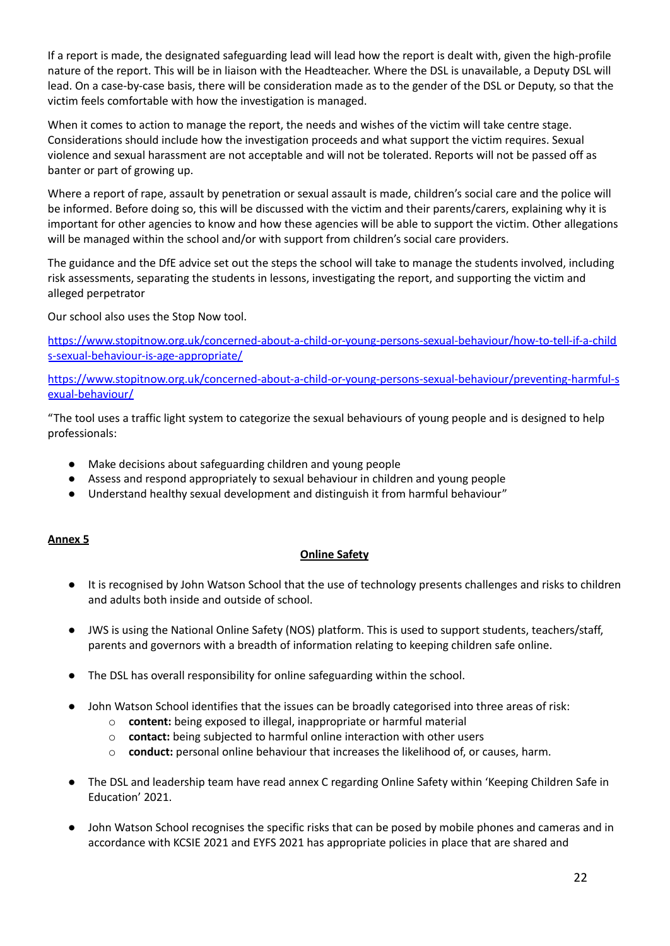If a report is made, the designated safeguarding lead will lead how the report is dealt with, given the high-profile nature of the report. This will be in liaison with the Headteacher. Where the DSL is unavailable, a Deputy DSL will lead. On a case-by-case basis, there will be consideration made as to the gender of the DSL or Deputy, so that the victim feels comfortable with how the investigation is managed.

When it comes to action to manage the report, the needs and wishes of the victim will take centre stage. Considerations should include how the investigation proceeds and what support the victim requires. Sexual violence and sexual harassment are not acceptable and will not be tolerated. Reports will not be passed off as banter or part of growing up.

Where a report of rape, assault by penetration or sexual assault is made, children's social care and the police will be informed. Before doing so, this will be discussed with the victim and their parents/carers, explaining why it is important for other agencies to know and how these agencies will be able to support the victim. Other allegations will be managed within the school and/or with support from children's social care providers.

The guidance and the DfE advice set out the steps the school will take to manage the students involved, including risk assessments, separating the students in lessons, investigating the report, and supporting the victim and alleged perpetrator

Our school also uses the Stop Now tool.

[https://www.stopitnow.org.uk/concerned-about-a-child-or-young-persons-sexual-behaviour/how-to-tell-if-a-child](https://www.stopitnow.org.uk/concerned-about-a-child-or-young-persons-sexual-behaviour/how-to-tell-if-a-childs-sexual-behaviour-is-age-appropriate/) [s-sexual-behaviour-is-age-appropriate/](https://www.stopitnow.org.uk/concerned-about-a-child-or-young-persons-sexual-behaviour/how-to-tell-if-a-childs-sexual-behaviour-is-age-appropriate/)

[https://www.stopitnow.org.uk/concerned-about-a-child-or-young-persons-sexual-behaviour/preventing-harmful-s](https://www.stopitnow.org.uk/concerned-about-a-child-or-young-persons-sexual-behaviour/preventing-harmful-sexual-behaviour/) [exual-behaviour/](https://www.stopitnow.org.uk/concerned-about-a-child-or-young-persons-sexual-behaviour/preventing-harmful-sexual-behaviour/)

"The tool uses a traffic light system to categorize the sexual behaviours of young people and is designed to help professionals:

- Make decisions about safeguarding children and young people
- Assess and respond appropriately to sexual behaviour in children and young people
- Understand healthy sexual development and distinguish it from harmful behaviour"

#### **Annex 5**

# **Online Safety**

- It is recognised by John Watson School that the use of technology presents challenges and risks to children and adults both inside and outside of school.
- JWS is using the National Online Safety (NOS) platform. This is used to support students, teachers/staff, parents and governors with a breadth of information relating to keeping children safe online.
- The DSL has overall responsibility for online safeguarding within the school.
- John Watson School identifies that the issues can be broadly categorised into three areas of risk:
	- o **content:** being exposed to illegal, inappropriate or harmful material
	- o **contact:** being subjected to harmful online interaction with other users
	- o **conduct:** personal online behaviour that increases the likelihood of, or causes, harm.
- The DSL and leadership team have read annex C regarding Online Safety within 'Keeping Children Safe in Education' 2021.
- *●* John Watson School recognises the specific risks that can be posed by mobile phones and cameras and in accordance with KCSIE 2021 and EYFS 2021 has appropriate policies in place that are shared and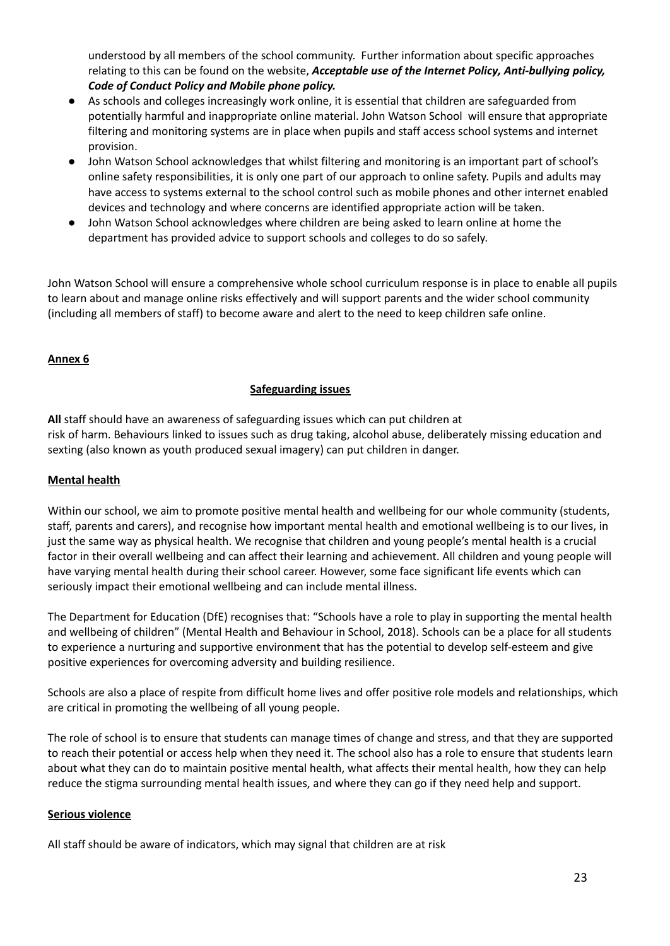understood by all members of the school community. Further information about specific approaches relating to this can be found on the website, *[Acceptable](http://www.johnwatsonschool.org/wp-content/uploads/jwatsonscans@gmail.com_20201125_142305.pdf) use of the Internet Policy, Anti-bullying policy, Code of Conduct Policy and Mobile phone policy.*

- As schools and colleges increasingly work online, it is essential that children are safeguarded from potentially harmful and inappropriate online material. John Watson School will ensure that appropriate filtering and monitoring systems are in place when pupils and staff access school systems and internet provision.
- John Watson School acknowledges that whilst filtering and monitoring is an important part of school's online safety responsibilities, it is only one part of our approach to online safety. Pupils and adults may have access to systems external to the school control such as mobile phones and other internet enabled devices and technology and where concerns are identified appropriate action will be taken.
- John Watson School acknowledges where children are being asked to learn online at home the department has provided advice to support schools and colleges to do so safely.

John Watson School will ensure a comprehensive whole school curriculum response is in place to enable all pupils to learn about and manage online risks effectively and will support parents and the wider school community (including all members of staff) to become aware and alert to the need to keep children safe online.

# **Annex 6**

#### **Safeguarding issues**

**All** staff should have an awareness of safeguarding issues which can put children at risk of harm. Behaviours linked to issues such as drug taking, alcohol abuse, deliberately missing education and sexting (also known as youth produced sexual imagery) can put children in danger.

#### **Mental health**

Within our school, we aim to promote positive mental health and wellbeing for our whole community (students, staff, parents and carers), and recognise how important mental health and emotional wellbeing is to our lives, in just the same way as physical health. We recognise that children and young people's mental health is a crucial factor in their overall wellbeing and can affect their learning and achievement. All children and young people will have varying mental health during their school career. However, some face significant life events which can seriously impact their emotional wellbeing and can include mental illness.

The Department for Education (DfE) recognises that: "Schools have a role to play in supporting the mental health and wellbeing of children" (Mental Health and Behaviour in School, 2018). Schools can be a place for all students to experience a nurturing and supportive environment that has the potential to develop self-esteem and give positive experiences for overcoming adversity and building resilience.

Schools are also a place of respite from difficult home lives and offer positive role models and relationships, which are critical in promoting the wellbeing of all young people.

The role of school is to ensure that students can manage times of change and stress, and that they are supported to reach their potential or access help when they need it. The school also has a role to ensure that students learn about what they can do to maintain positive mental health, what affects their mental health, how they can help reduce the stigma surrounding mental health issues, and where they can go if they need help and support.

#### **Serious violence**

All staff should be aware of indicators, which may signal that children are at risk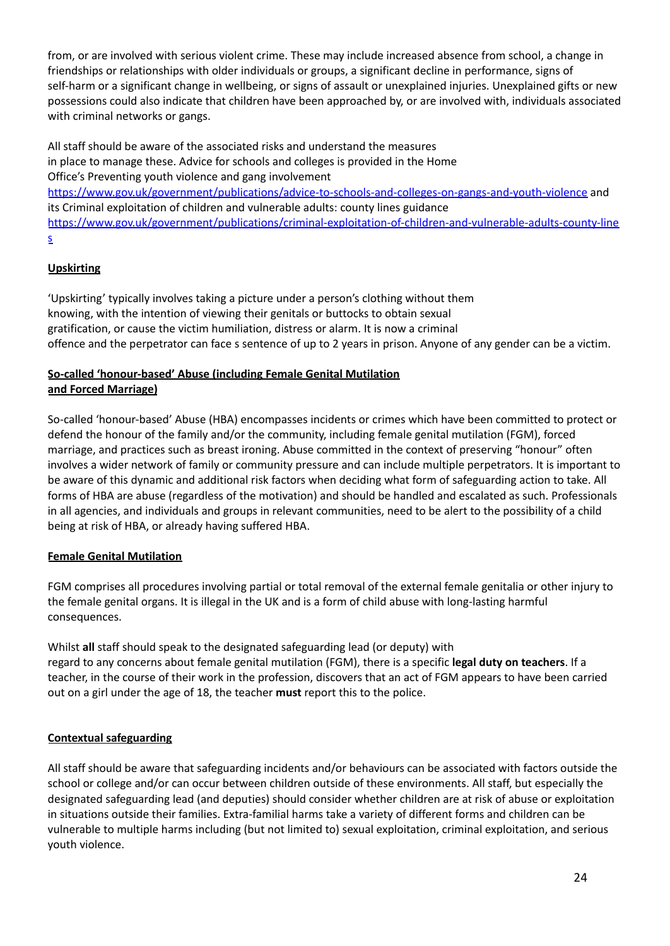from, or are involved with serious violent crime. These may include increased absence from school, a change in friendships or relationships with older individuals or groups, a significant decline in performance, signs of self-harm or a significant change in wellbeing, or signs of assault or unexplained injuries. Unexplained gifts or new possessions could also indicate that children have been approached by, or are involved with, individuals associated with criminal networks or gangs.

All staff should be aware of the associated risks and understand the measures in place to manage these. Advice for schools and colleges is provided in the Home Office's Preventing youth violence and gang involvement <https://www.gov.uk/government/publications/advice-to-schools-and-colleges-on-gangs-and-youth-violence> and its Criminal exploitation of children and vulnerable adults: county lines guidance [https://www.gov.uk/government/publications/criminal-exploitation-of-children-and-vulnerable-adults-county-line](https://www.gov.uk/government/publications/criminal-exploitation-of-children-and-vulnerable-adults-county-lines) [s](https://www.gov.uk/government/publications/criminal-exploitation-of-children-and-vulnerable-adults-county-lines)

# **Upskirting**

'Upskirting' typically involves taking a picture under a person's clothing without them knowing, with the intention of viewing their genitals or buttocks to obtain sexual gratification, or cause the victim humiliation, distress or alarm. It is now a criminal offence and the perpetrator can face s sentence of up to 2 years in prison. Anyone of any gender can be a victim.

# **So-called 'honour-based' Abuse (including Female Genital Mutilation and Forced Marriage)**

So-called 'honour-based' Abuse (HBA) encompasses incidents or crimes which have been committed to protect or defend the honour of the family and/or the community, including female genital mutilation (FGM), forced marriage, and practices such as breast ironing. Abuse committed in the context of preserving "honour" often involves a wider network of family or community pressure and can include multiple perpetrators. It is important to be aware of this dynamic and additional risk factors when deciding what form of safeguarding action to take. All forms of HBA are abuse (regardless of the motivation) and should be handled and escalated as such. Professionals in all agencies, and individuals and groups in relevant communities, need to be alert to the possibility of a child being at risk of HBA, or already having suffered HBA.

# **Female Genital Mutilation**

FGM comprises all procedures involving partial or total removal of the external female genitalia or other injury to the female genital organs. It is illegal in the UK and is a form of child abuse with long-lasting harmful consequences.

Whilst **all** staff should speak to the designated safeguarding lead (or deputy) with regard to any concerns about female genital mutilation (FGM), there is a specific **legal duty on teachers**. If a teacher, in the course of their work in the profession, discovers that an act of FGM appears to have been carried out on a girl under the age of 18, the teacher **must** report this to the police.

# **Contextual safeguarding**

All staff should be aware that safeguarding incidents and/or behaviours can be associated with factors outside the school or college and/or can occur between children outside of these environments. All staff, but especially the designated safeguarding lead (and deputies) should consider whether children are at risk of abuse or exploitation in situations outside their families. Extra-familial harms take a variety of different forms and children can be vulnerable to multiple harms including (but not limited to) sexual exploitation, criminal exploitation, and serious youth violence.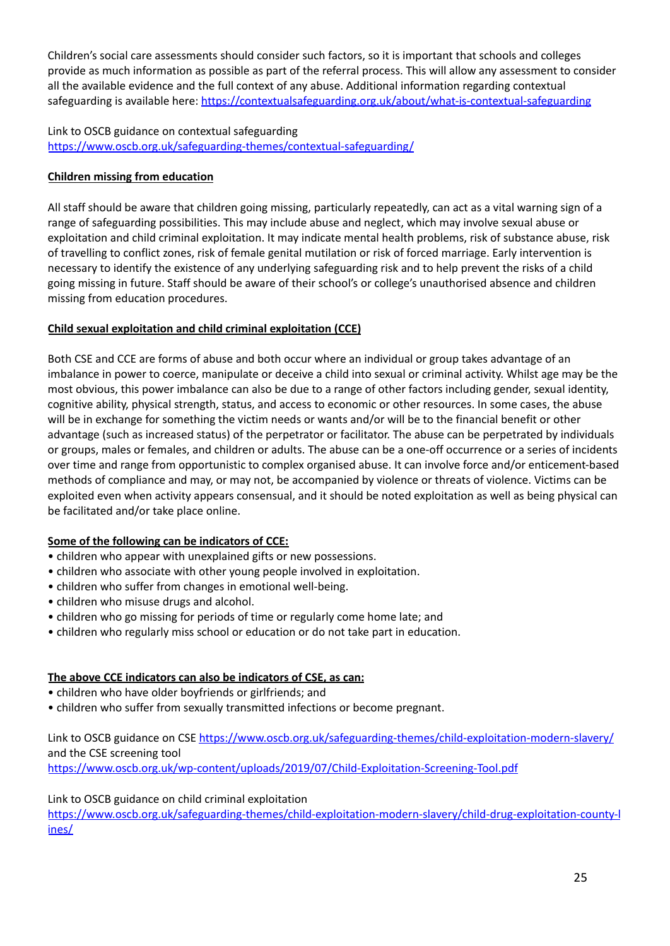Children's social care assessments should consider such factors, so it is important that schools and colleges provide as much information as possible as part of the referral process. This will allow any assessment to consider all the available evidence and the full context of any abuse. Additional information regarding contextual safeguarding is available here: <https://contextualsafeguarding.org.uk/about/what-is-contextual-safeguarding>

# Link to OSCB guidance on contextual safeguarding <https://www.oscb.org.uk/safeguarding-themes/contextual-safeguarding/>

# **Children missing from education**

All staff should be aware that children going missing, particularly repeatedly, can act as a vital warning sign of a range of safeguarding possibilities. This may include abuse and neglect, which may involve sexual abuse or exploitation and child criminal exploitation. It may indicate mental health problems, risk of substance abuse, risk of travelling to conflict zones, risk of female genital mutilation or risk of forced marriage. Early intervention is necessary to identify the existence of any underlying safeguarding risk and to help prevent the risks of a child going missing in future. Staff should be aware of their school's or college's unauthorised absence and children missing from education procedures.

# **Child sexual exploitation and child criminal exploitation (CCE)**

Both CSE and CCE are forms of abuse and both occur where an individual or group takes advantage of an imbalance in power to coerce, manipulate or deceive a child into sexual or criminal activity. Whilst age may be the most obvious, this power imbalance can also be due to a range of other factors including gender, sexual identity, cognitive ability, physical strength, status, and access to economic or other resources. In some cases, the abuse will be in exchange for something the victim needs or wants and/or will be to the financial benefit or other advantage (such as increased status) of the perpetrator or facilitator. The abuse can be perpetrated by individuals or groups, males or females, and children or adults. The abuse can be a one-off occurrence or a series of incidents over time and range from opportunistic to complex organised abuse. It can involve force and/or enticement-based methods of compliance and may, or may not, be accompanied by violence or threats of violence. Victims can be exploited even when activity appears consensual, and it should be noted exploitation as well as being physical can be facilitated and/or take place online.

# **Some of the following can be indicators of CCE:**

- children who appear with unexplained gifts or new possessions.
- children who associate with other young people involved in exploitation.
- children who suffer from changes in emotional well-being.
- children who misuse drugs and alcohol.
- children who go missing for periods of time or regularly come home late; and
- children who regularly miss school or education or do not take part in education.

# **The above CCE indicators can also be indicators of CSE, as can:**

- children who have older boyfriends or girlfriends; and
- children who suffer from sexually transmitted infections or become pregnant.

Link to OSCB guidance on CSE <https://www.oscb.org.uk/safeguarding-themes/child-exploitation-modern-slavery/> and the CSE screening tool <https://www.oscb.org.uk/wp-content/uploads/2019/07/Child-Exploitation-Screening-Tool.pdf>

# Link to OSCB guidance on child criminal exploitation

[https://www.oscb.org.uk/safeguarding-themes/child-exploitation-modern-slavery/child-drug-exploitation-county-l](https://www.oscb.org.uk/safeguarding-themes/child-exploitation-modern-slavery/child-drug-exploitation-county-lines/) [ines/](https://www.oscb.org.uk/safeguarding-themes/child-exploitation-modern-slavery/child-drug-exploitation-county-lines/)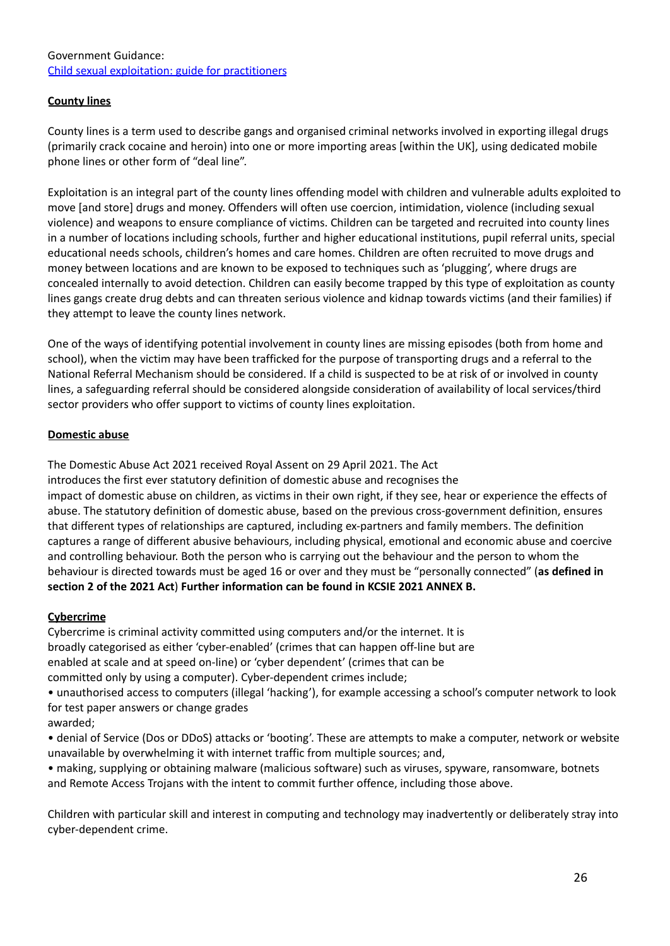#### Government Guidance: Child sexual exploitation: guide for [practitioners](https://www.gov.uk/government/publications/child-sexual-exploitation-definition-and-guide-for-practitioners)

# **County lines**

County lines is a term used to describe gangs and organised criminal networks involved in exporting illegal drugs (primarily crack cocaine and heroin) into one or more importing areas [within the UK], using dedicated mobile phone lines or other form of "deal line".

Exploitation is an integral part of the county lines offending model with children and vulnerable adults exploited to move [and store] drugs and money. Offenders will often use coercion, intimidation, violence (including sexual violence) and weapons to ensure compliance of victims. Children can be targeted and recruited into county lines in a number of locations including schools, further and higher educational institutions, pupil referral units, special educational needs schools, children's homes and care homes. Children are often recruited to move drugs and money between locations and are known to be exposed to techniques such as 'plugging', where drugs are concealed internally to avoid detection. Children can easily become trapped by this type of exploitation as county lines gangs create drug debts and can threaten serious violence and kidnap towards victims (and their families) if they attempt to leave the county lines network.

One of the ways of identifying potential involvement in county lines are missing episodes (both from home and school), when the victim may have been trafficked for the purpose of transporting drugs and a referral to the National Referral Mechanism should be considered. If a child is suspected to be at risk of or involved in county lines, a safeguarding referral should be considered alongside consideration of availability of local services/third sector providers who offer support to victims of county lines exploitation.

#### **Domestic abuse**

The Domestic Abuse Act 2021 received Royal Assent on 29 April 2021. The Act introduces the first ever statutory definition of domestic abuse and recognises the impact of domestic abuse on children, as victims in their own right, if they see, hear or experience the effects of abuse. The statutory definition of domestic abuse, based on the previous cross-government definition, ensures that different types of relationships are captured, including ex-partners and family members. The definition captures a range of different abusive behaviours, including physical, emotional and economic abuse and coercive and controlling behaviour. Both the person who is carrying out the behaviour and the person to whom the behaviour is directed towards must be aged 16 or over and they must be "personally connected" (**as defined in section 2 of the 2021 Act**) **Further information can be found in KCSIE 2021 ANNEX B.**

# **Cybercrime**

Cybercrime is criminal activity committed using computers and/or the internet. It is broadly categorised as either 'cyber-enabled' (crimes that can happen off-line but are enabled at scale and at speed on-line) or 'cyber dependent' (crimes that can be committed only by using a computer). Cyber-dependent crimes include;

• unauthorised access to computers (illegal 'hacking'), for example accessing a school's computer network to look for test paper answers or change grades

awarded;

• denial of Service (Dos or DDoS) attacks or 'booting'. These are attempts to make a computer, network or website unavailable by overwhelming it with internet traffic from multiple sources; and,

• making, supplying or obtaining malware (malicious software) such as viruses, spyware, ransomware, botnets and Remote Access Trojans with the intent to commit further offence, including those above.

Children with particular skill and interest in computing and technology may inadvertently or deliberately stray into cyber-dependent crime.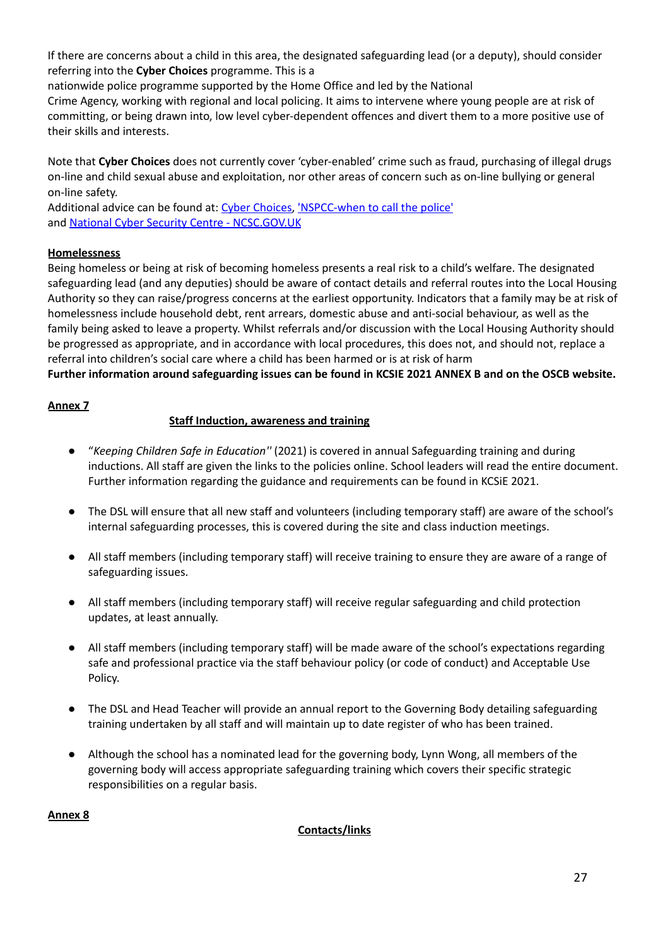If there are concerns about a child in this area, the designated safeguarding lead (or a deputy), should consider referring into the **Cyber Choices** programme. This is a

nationwide police programme supported by the Home Office and led by the National

Crime Agency, working with regional and local policing. It aims to intervene where young people are at risk of committing, or being drawn into, low level cyber-dependent offences and divert them to a more positive use of their skills and interests.

Note that **Cyber Choices** does not currently cover 'cyber-enabled' crime such as fraud, purchasing of illegal drugs on-line and child sexual abuse and exploitation, nor other areas of concern such as on-line bullying or general on-line safety.

Additional advice can be found at: Cyber [Choices,](http://www.cyberchoices.uk/) ['NSPCC-when](https://www.npcc.police.uk/documents/Children%20and%20Young%20people/When%20to%20call%20the%20police%20guidance%20for%20schools%20and%20colleges.pdf) to call the police' and National Cyber Security Centre - [NCSC.GOV.UK](https://www.ncsc.gov.uk/)

# **Homelessness**

Being homeless or being at risk of becoming homeless presents a real risk to a child's welfare. The designated safeguarding lead (and any deputies) should be aware of contact details and referral routes into the Local Housing Authority so they can raise/progress concerns at the earliest opportunity. Indicators that a family may be at risk of homelessness include household debt, rent arrears, domestic abuse and anti-social behaviour, as well as the family being asked to leave a property. Whilst referrals and/or discussion with the Local Housing Authority should be progressed as appropriate, and in accordance with local procedures, this does not, and should not, replace a referral into children's social care where a child has been harmed or is at risk of harm

Further information around safeguarding issues can be found in KCSIE 2021 ANNEX B and on the OSCB website.

#### **Annex 7**

# **Staff Induction, awareness and training**

- *●* "*Keeping Children Safe in Education''* (2021) is covered in annual Safeguarding training and during inductions. All staff are given the links to the policies online. School leaders will read the entire document. Further information regarding the guidance and requirements can be found in KCSiE 2021.
- The DSL will ensure that all new staff and volunteers (including temporary staff) are aware of the school's internal safeguarding processes, this is covered during the site and class induction meetings.
- All staff members (including temporary staff) will receive training to ensure they are aware of a range of safeguarding issues.
- All staff members (including temporary staff) will receive regular safeguarding and child protection updates, at least annually.
- All staff members (including temporary staff) will be made aware of the school's expectations regarding safe and professional practice via the staff behaviour policy (or code of conduct) and Acceptable Use Policy.
- The DSL and Head Teacher will provide an annual report to the Governing Body detailing safeguarding training undertaken by all staff and will maintain up to date register of who has been trained.
- Although the school has a nominated lead for the governing body, Lynn Wong, all members of the governing body will access appropriate safeguarding training which covers their specific strategic responsibilities on a regular basis.

#### **Annex 8**

# **Contacts/links**